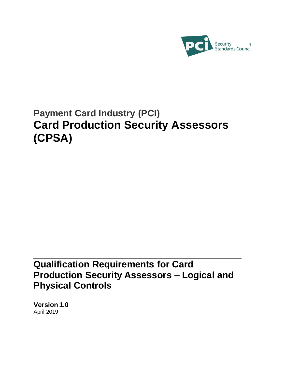

# **Payment Card Industry (PCI) Card Production Security Assessors (CPSA)**

# **Qualification Requirements for Card Production Security Assessors – Logical and Physical Controls**

**Version 1.0** April 2019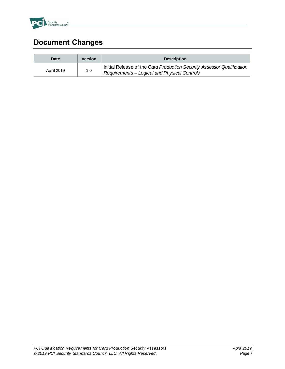

# <span id="page-1-0"></span>**Document Changes**

| Date       | <b>Version</b> | <b>Description</b>                                                                                                     |
|------------|----------------|------------------------------------------------------------------------------------------------------------------------|
| April 2019 | 1.0            | Initial Release of the Card Production Security Assessor Qualification<br>Requirements - Logical and Physical Controls |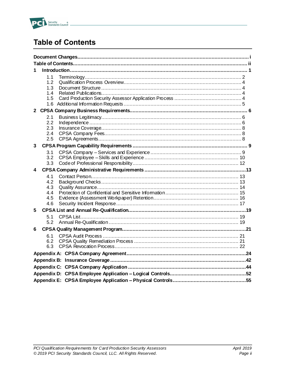

# <span id="page-2-0"></span>**Table of Contents**

| 1                                      |  |  |  |
|----------------------------------------|--|--|--|
| 1.1<br>12<br>1.3<br>14<br>1.5          |  |  |  |
|                                        |  |  |  |
| 2.1<br>2.2<br>2.3<br>2.4<br>2.5        |  |  |  |
| 3                                      |  |  |  |
| 3.1<br>3.2<br>3.3                      |  |  |  |
| 4                                      |  |  |  |
| 4.1<br>4.2<br>4.3<br>4.4<br>4.5<br>4.6 |  |  |  |
| 5                                      |  |  |  |
| 5.1<br>5.2                             |  |  |  |
| 6                                      |  |  |  |
| 6.1<br>6.2<br>6.3                      |  |  |  |
|                                        |  |  |  |
|                                        |  |  |  |
|                                        |  |  |  |
|                                        |  |  |  |
|                                        |  |  |  |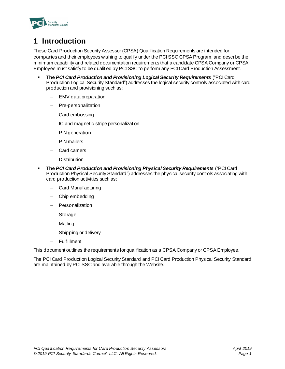

# <span id="page-3-0"></span>**1 Introduction**

These Card Production Security Assessor (CPSA) Qualification Requirements are intended for companies and their employees wishing to qualify under the PCI SSC CPSA Program, and describe the minimum capability and related documentation requirements that a candidate CPSA Company or CPSA Employee must satisfy to be qualified by PCI SSC to perform any PCI Card Production Assessment.

- **The** *PCI Card Production and Provisioning Logical Security Requirements* ("PCI Card Production Logical Security Standard") addresses the logical security controls associated with card production and provisioning such as:
	- − EMV data preparation
	- − Pre-personalization
	- − Card embossing
	- − IC and magnetic-stripe personalization
	- PIN generation
	- − PIN mailers
	- − Card carriers
	- − Distribution
- **The** *PCI Card Production and Provisioning Physical Security Requirements* ("PCI Card Production Physical Security Standard") addresses the physical security controls associating with card production activities such as:
	- − Card Manufacturing
	- − Chip embedding
	- − Personalization
	- − Storage
	- − Mailing
	- Shipping or delivery
	- − Fulfillment

This document outlines the requirements for qualification as a CPSA Company or CPSA Employee.

The PCI Card Production Logical Security Standard and PCI Card Production Physical Security Standard are maintained by PCI SSC and available through the Website.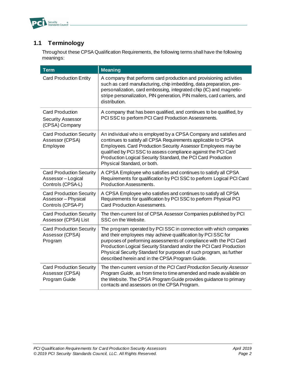

# <span id="page-4-0"></span>**1.1 Terminology**

Throughout these CPSA Qualification Requirements, the following terms shall have the following meanings:

| <b>Term</b>                                                                 | <b>Meaning</b>                                                                                                                                                                                                                                                                                                                                                                                            |  |  |  |
|-----------------------------------------------------------------------------|-----------------------------------------------------------------------------------------------------------------------------------------------------------------------------------------------------------------------------------------------------------------------------------------------------------------------------------------------------------------------------------------------------------|--|--|--|
| <b>Card Production Entity</b>                                               | A company that performs card production and provisioning activities<br>such as card manufacturing, chip imbedding, data preparation, pre-<br>personalization, card embossing, integrated chip (IC) and magnetic-<br>stripe personalization, PIN generation, PIN mailers, card carriers, and<br>distribution.                                                                                              |  |  |  |
| <b>Card Production</b><br><b>Security Assessor</b><br>(CPSA) Company        | A company that has been qualified, and continues to be qualified, by<br>PCI SSC to perform PCI Card Production Assessments.                                                                                                                                                                                                                                                                               |  |  |  |
| <b>Card Production Security</b><br>Assessor (CPSA)<br>Employee              | An individual who is employed by a CPSA Company and satisfies and<br>continues to satisfy all CPSA Requirements applicable to CPSA<br>Employees. Card Production Security Assessor Employees may be<br>qualified by PCI SSC to assess compliance against the PCI Card<br>Production Logical Security Standard, the PCI Card Production<br>Physical Standard, or both.                                     |  |  |  |
| <b>Card Production Security</b><br>Assessor - Logical<br>Controls (CPSA-L)  | A CPSA Employee who satisfies and continues to satisfy all CPSA<br>Requirements for qualification by PCI SSC to perform Logical PCI Card<br>Production Assessments.                                                                                                                                                                                                                                       |  |  |  |
| <b>Card Production Security</b><br>Assessor - Physical<br>Controls (CPSA-P) | A CPSA Employee who satisfies and continues to satisfy all CPSA<br>Requirements for qualification by PCI SSC to perform Physical PCI<br>Card Production Assessments.                                                                                                                                                                                                                                      |  |  |  |
| <b>Card Production Security</b><br>Assessor (CPSA) List                     | The then-current list of CPSA Assessor Companies published by PCI<br>SSC on the Website.                                                                                                                                                                                                                                                                                                                  |  |  |  |
| <b>Card Production Security</b><br>Assessor (CPSA)<br>Program               | The program operated by PCI SSC in connection with which companies<br>and their employees may achieve qualification by PCI SSC for<br>purposes of performing assessments of compliance with the PCI Card<br>Production Logical Security Standard and/or the PCI Card Production<br>Physical Security Standard for purposes of such program, as further<br>described herein and in the CPSA Program Guide. |  |  |  |
| <b>Card Production Security</b><br>Assessor (CPSA)<br>Program Guide         | The then-current version of the PCI Card Production Security Assessor<br>Program Guide, as from time to time amended and made available on<br>the Website. The CPSA Program Guide provides guidance to primary<br>contacts and assessors on the CPSA Program.                                                                                                                                             |  |  |  |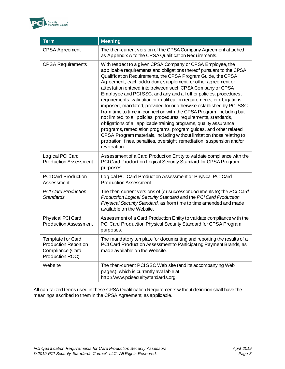

| <b>Term</b>                                                                      | <b>Meaning</b>                                                                                                                                                                                                                                                                                                                                                                                                                                                                                                                                                                                                                                                                                                                                                                                                                                                                                                                                                                                                    |  |  |  |
|----------------------------------------------------------------------------------|-------------------------------------------------------------------------------------------------------------------------------------------------------------------------------------------------------------------------------------------------------------------------------------------------------------------------------------------------------------------------------------------------------------------------------------------------------------------------------------------------------------------------------------------------------------------------------------------------------------------------------------------------------------------------------------------------------------------------------------------------------------------------------------------------------------------------------------------------------------------------------------------------------------------------------------------------------------------------------------------------------------------|--|--|--|
| <b>CPSA Agreement</b>                                                            | The then-current version of the CPSA Company Agreement attached<br>as Appendix A to the CPSA Qualification Requirements.                                                                                                                                                                                                                                                                                                                                                                                                                                                                                                                                                                                                                                                                                                                                                                                                                                                                                          |  |  |  |
| <b>CPSA Requirements</b>                                                         | With respect to a given CPSA Company or CPSA Employee, the<br>applicable requirements and obligations thereof pursuant to the CPSA<br>Qualification Requirements, the CPSA Program Guide, the CPSA<br>Agreement, each addendum, supplement, or other agreement or<br>attestation entered into between such CPSA Company or CPSA<br>Employee and PCI SSC, and any and all other policies, procedures,<br>requirements, validation or qualification requirements, or obligations<br>imposed, mandated, provided for or otherwise established by PCI SSC<br>from time to time in connection with the CPSA Program, including but<br>not limited, to all policies, procedures, requirements, standards,<br>obligations of all applicable training programs, quality assurance<br>programs, remediation programs, program guides, and other related<br>CPSA Program materials, including without limitation those relating to<br>probation, fines, penalties, oversight, remediation, suspension and/or<br>revocation. |  |  |  |
| Logical PCI Card<br><b>Production Assessment</b>                                 | Assessment of a Card Production Entity to validate compliance with the<br>PCI Card Production Logical Security Standard for CPSA Program<br>purposes.                                                                                                                                                                                                                                                                                                                                                                                                                                                                                                                                                                                                                                                                                                                                                                                                                                                             |  |  |  |
| <b>PCI Card Production</b><br>Assessment                                         | Logical PCI Card Production Assessment or Physical PCI Card<br>Production Assessment.                                                                                                                                                                                                                                                                                                                                                                                                                                                                                                                                                                                                                                                                                                                                                                                                                                                                                                                             |  |  |  |
| <b>PCI Card Production</b><br><b>Standards</b>                                   | The then-current versions of (or successor documents to) the PCI Card<br>Production Logical Security Standard and the PCI Card Production<br>Physical Security Standard, as from time to time amended and made<br>available on the Website.                                                                                                                                                                                                                                                                                                                                                                                                                                                                                                                                                                                                                                                                                                                                                                       |  |  |  |
| <b>Physical PCI Card</b><br><b>Production Assessment</b>                         | Assessment of a Card Production Entity to validate compliance with the<br>PCI Card Production Physical Security Standard for CPSA Program<br>purposes.                                                                                                                                                                                                                                                                                                                                                                                                                                                                                                                                                                                                                                                                                                                                                                                                                                                            |  |  |  |
| Template for Card<br>Production Report on<br>Compliance (Card<br>Production ROC) | The mandatory template for documenting and reporting the results of a<br>PCI Card Production Assessment to Participating Payment Brands, as<br>made available on the Website.                                                                                                                                                                                                                                                                                                                                                                                                                                                                                                                                                                                                                                                                                                                                                                                                                                     |  |  |  |
| Website                                                                          | The then-current PCI SSC Web site (and its accompanying Web<br>pages), which is currently available at<br>http://www.pcisecuritystandards.org.                                                                                                                                                                                                                                                                                                                                                                                                                                                                                                                                                                                                                                                                                                                                                                                                                                                                    |  |  |  |

All capitalized terms used in these CPSA Qualification Requirements without definition shall have the meanings ascribed to them in the CPSA Agreement, as applicable.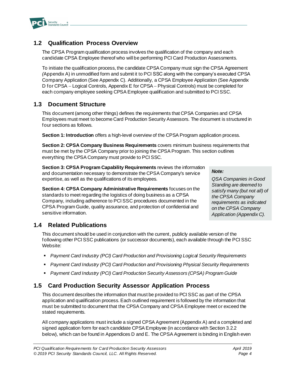

# <span id="page-6-0"></span>**1.2 Qualification Process Overview**

The CPSA Program qualification process involves the qualification of the company and each candidate CPSA Employee thereof who will be performing PCI Card Production Assessments.

To initiate the qualification process, the candidate CPSA Company must sign the CPSA Agreement *(*Appendix A) in unmodified form and submit it to PCI SSC along with the company's executed CPSA Company Application (See Appendix C). Additionally, a CPSA Employee Application (See Appendix D for CPSA – Logical Controls, Appendix E for CPSA – Physical Controls) must be completed for each company employee seeking CPSA Employee qualification and submitted to PCI SSC.

## <span id="page-6-1"></span>**1.3 Document Structure**

This document (among other things) defines the requirements that CPSA Companies and CPSA Employees must meet to become Card Production Security Assessors. The document is structured in four sections as follows.

**Section 1: Introduction** offers a high-level overview of the CPSA Program application process.

**Section 2: CPSA Company Business Requirements** covers minimum business requirements that must be met by the CPSA Company prior to joining the CPSA Program. This section outlines everything the CPSA Company must provide to PCI SSC.

**Section 3: CPSA Program Capability Requirements** reviews the information and documentation necessary to demonstrate the CPSA Company's service expertise, as well as the qualifications of its employees.

**Section 4: CPSA Company Administrative Requirements** focuses on the standards to meet regarding the logistics of doing business as a CPSA Company, including adherence to PCI SSC procedures documented in the CPSA Program Guide, quality assurance, and protection of confidential and sensitive information.

*Note:*

*QSA Companies in Good Standing are deemed to satisfy many (but not all) of the CPSA Company requirements as indicated on the CPSA Company Application (Appendix C).*

# <span id="page-6-2"></span>**1.4 Related Publications**

This document should be used in conjunction with the current, publicly available version of the following other PCI SSC publications (or successor documents), each available through the PCI SSC Website:

- *Payment Card Industry (PCI) Card Production and Provisioning Logical Security Requirements*
- *Payment Card Industry (PCI) Card Production and Provisioning Physical Security Requirements*
- *Payment Card Industry (PCI) Card Production Security Assessors (CPSA) Program Guide*

# <span id="page-6-3"></span>**1.5 Card Production Security Assessor Application Process**

This document describes the information that must be provided to PCI SSC as part of the CPSA application and qualification process. Each outlined requirement is followed by the information that must be submitted to document that the CPSA Company and CPSA Employee meet or exceed the stated requirements.

All company applications must include a signed CPSA Agreement (Appendix A) and a completed and signed application form for each candidate CPSA Employee (in accordance with Section 3.2.2 below), which can be found in Appendices D and E. The CPSA Agreement is binding in English even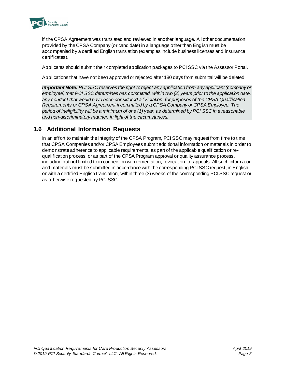

if the CPSA Agreement was translated and reviewed in another language. All other documentation provided by the CPSA Company (or candidate) in a language other than English must be accompanied by a certified English translation (examples include business licenses and insurance certificates).

Applicants should submit their completed application packages to PCI SSC via the Assessor Portal.

Applications that have not been approved or rejected after 180 days from submittal will be deleted.

*Important Note: PCI SSC reserves the right to reject any application from any applicant (company or employee) that PCI SSC determines has committed, within two (2) years prior to the application date, any conduct that would have been considered a "Violation" for purposes of the CPSA Qualification Requirements or CPSA Agreement if committed by a CPSA Company or CPSA Employee. The period of ineligibility will be a minimum of one (1) year, as determined by PCI SSC in a reasonable and non-discriminatory manner, in light of the circumstances.* 

## <span id="page-7-0"></span>**1.6 Additional Information Requests**

In an effort to maintain the integrity of the CPSA Program, PCI SSC may request from time to time that CPSA Companies and/or CPSA Employees submit additional information or materials in order to demonstrate adherence to applicable requirements, as part of the applicable qualification or requalification process, or as part of the CPSA Program approval or quality assurance process, including but not limited to in connection with remediation, revocation, or appeals. All such information and materials must be submitted in accordance with the corresponding PCI SSC request, in English or with a certified English translation, within three (3) weeks of the corresponding PCI SSC request or as otherwise requested by PCI SSC.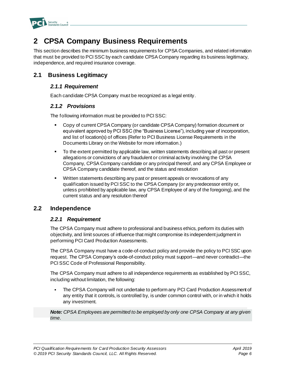

# <span id="page-8-0"></span>**2 CPSA Company Business Requirements**

This section describes the minimum business requirements for CPSA Companies, and related information that must be provided to PCI SSC by each candidate CPSA Company regarding its business legitimacy, independence, and required insurance coverage.

## <span id="page-8-1"></span>**2.1 Business Legitimacy**

#### *2.1.1 Requirement*

Each candidate CPSA Company must be recognized as a legal entity.

#### *2.1.2 Provisions*

The following information must be provided to PCI SSC:

- Copy of current CPSA Company (or candidate CPSA Company) formation document or equivalent approved by PCI SSC (the "Business License"), including year of incorporation, and list of location(s) of offices (Refer to PCI Business License Requirements in the Documents Library on the Website for more information.)
- To the extent permitted by applicable law, written statements describing all past or present allegations or convictions of any fraudulent or criminal activity involving the CPSA Company, CPSA Company candidate or any principal thereof, and any CPSA Employee or CPSA Company candidate thereof, and the status and resolution
- Written statements describing any past or present appeals or revocations of any qualification issued by PCI SSC to the CPSA Company (or any predecessor entity or, unless prohibited by applicable law, any CPSA Employee of any of the foregoing), and the current status and any resolution thereof

## <span id="page-8-2"></span>**2.2 Independence**

### *2.2.1 Requirement*

The CPSA Company must adhere to professional and business ethics, perform its duties with objectivity, and limit sources of influence that might compromise its independent judgment in performing PCI Card Production Assessments.

The CPSA Company must have a code-of-conduct policy and provide the policy to PCI SSC upon request. The CPSA Company's code-of-conduct policy must support—and never contradict—the PCI SSC Code of Professional Responsibility.

The CPSA Company must adhere to all independence requirements as established by PCI SSC, including without limitation, the following:

The CPSA Company will not undertake to perform any PCI Card Production Assessment of any entity that it controls, is controlled by, is under common control with, or in which it holds any investment.

*Note: CPSA Employees are permitted to be employed by only one CPSA Company at any given time*.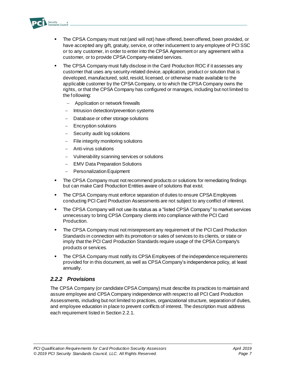

- The CPSA Company must not (and will not) have offered, been offered, been provided, or have accepted any gift, gratuity, service, or other inducement to any employee of PCI SSC or to any customer, in order to enter into the CPSA Agreement or any agreement with a customer, or to provide CPSA Company-related services.
- The CPSA Company must fully disclose in the Card Production ROC if it assesses any customer that uses any security-related device, application, product or solution that is developed, manufactured, sold, resold, licensed, or otherwise made available to the applicable customer by the CPSA Company, or to which the CPSA Company owns the rights, or that the CPSA Company has configured or manages, including but not limited to the following:
	- − Application or network firewalls
	- − Intrusion detection/prevention systems
	- − Database or other storage solutions
	- − Encryption solutions
	- Security audit log solutions
	- − File integrity monitoring solutions
	- − Anti-virus solutions
	- − Vulnerability scanning services or solutions
	- − EMV Data Preparation Solutions
	- − Personalization Equipment
- The CPSA Company must not recommend products or solutions for remediating findings but can make Card Production Entities aware of solutions that exist.
- The CPSA Company must enforce separation of duties to ensure CPSA Employees conducting PCI Card Production Assessments are not subject to any conflict of interest.
- The CPSA Company will not use its status as a "listed CPSA Company" to market services unnecessary to bring CPSA Company clients into compliance with the PCI Card Production.
- The CPSA Company must not misrepresent any requirement of the PCI Card Production Standards in connection with its promotion or sales of services to its clients, or state or imply that the PCI Card Production Standards require usage of the CPSA Company's products or services.
- The CPSA Company must notify its CPSA Employees of the independence requirements provided for in this document, as well as CPSA Company's independence policy, at least annually.

### *2.2.2 Provisions*

The CPSA Company (or candidate CPSA Company) must describe its practices to maintain and assure employee and CPSA Company independence with respect to all PCI Card Production Assessments, including but not limited to practices, organizational structure, separation of duties, and employee education in place to prevent conflicts of interest. The description must address each requirement listed in Section 2.2.1.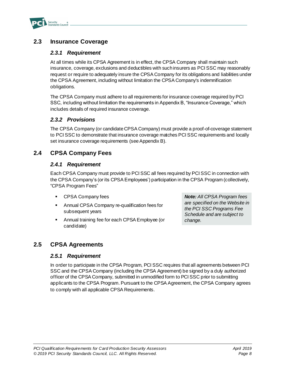

# <span id="page-10-0"></span>**2.3 Insurance Coverage**

### *2.3.1 Requirement*

At all times while its CPSA Agreement is in effect, the CPSA Company shall maintain such insurance, coverage, exclusions and deductibles with such insurers as PCI SSC may reasonably request or require to adequately insure the CPSA Company for its obligations and liabilities under the CPSA Agreement, including without limitation the CPSA Company's indemnification obligations.

The CPSA Company must adhere to all requirements for insurance coverage required by PCI SSC, including without limitation the requirements in Appendix B, "Insurance Coverage," which includes details of required insurance coverage.

### *2.3.2 Provisions*

The CPSA Company (or candidate CPSA Company) must provide a proof-of-coverage statement to PCI SSC to demonstrate that insurance coverage matches PCI SSC requirements and locally set insurance coverage requirements (see Appendix B).

## <span id="page-10-1"></span>**2.4 CPSA Company Fees**

### *2.4.1 Requirement*

Each CPSA Company must provide to PCI SSC all fees required by PCI SSC in connection with the CPSA Company's (or its CPSA Employees') participation in the CPSA Program (collectively, "CPSA Program Fees"

- CPSA Company fees
- Annual CPSA Company re-qualification fees for subsequent years
- Annual training fee for each CPSA Employee (or candidate)

*Note: All CPSA Program fees are specified on the Website in the PCI SSC Programs Fee Schedule and are subject to change.*

## <span id="page-10-2"></span>**2.5 CPSA Agreements**

### *2.5.1 Requirement*

In order to participate in the CPSA Program, PCI SSC requires that all agreements between PCI SSC and the CPSA Company (including the CPSA Agreement) be signed by a duly authorized officer of the CPSA Company, submitted in unmodified form to PCI SSC prior to submitting applicants to the CPSA Program. Pursuant to the CPSA Agreement, the CPSA Company agrees to comply with all applicable CPSA Requirements.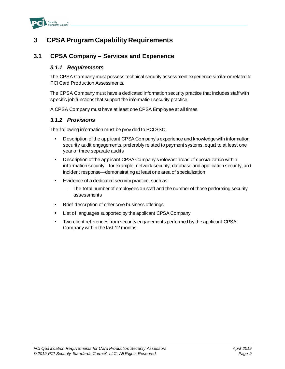

# <span id="page-11-0"></span>**3 CPSA Program Capability Requirements**

## <span id="page-11-1"></span>**3.1 CPSA Company – Services and Experience**

#### *3.1.1 Requirements*

The CPSA Company must possess technical security assessment experience similar or related to PCI Card Production Assessments.

The CPSA Company must have a dedicated information security practice that includes staff with specific job functions that support the information security practice.

A CPSA Company must have at least one CPSA Employee at all times.

### *3.1.2 Provisions*

The following information must be provided to PCI SSC:

- Description of the applicant CPSA Company's experience and knowledge with information security audit engagements, preferably related to payment systems, equal to at least one year or three separate audits
- Description of the applicant CPSA Company's relevant areas of specialization within information security—for example, network security, database and application security, and incident response—demonstrating at least one area of specialization
- Evidence of a dedicated security practice, such as:
	- The total number of employees on staff and the number of those performing security assessments
- Brief description of other core business offerings
- List of languages supported by the applicant CPSA Company
- Two client references from security engagements performed by the applicant CPSA Company within the last 12 months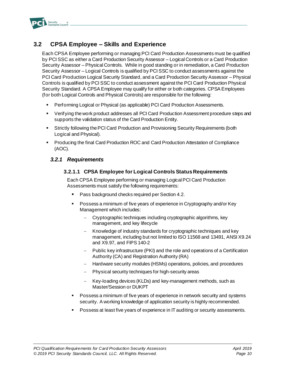

# <span id="page-12-0"></span>**3.2 CPSA Employee – Skills and Experience**

Each CPSA Employee performing or managing PCI Card Production Assessments must be qualified by PCI SSC as either a Card Production Security Assessor – Logical Controls or a Card Production Security Assessor – Physical Controls. While in good standing or in remediation, a Card Production Security Assessor – Logical Controls is qualified by PCI SSC to conduct assessments against the PCI Card Production Logical Security Standard, and a Card Production Security Assessor – Physical Controls is qualified by PCI SSC to conduct assessment against the PCI Card Production Physical Security Standard. A CPSA Employee may qualify for either or both categories. CPSA Employees (for both Logical Controls and Physical Controls) are responsible for the following:

- Performing Logical or Physical (as applicable) PCI Card Production Assessments.
- Verifying the work product addresses all PCI Card Production Assessment procedure steps and supports the validation status of the Card Production Entity.
- **EXECT:** Strictly following the PCI Card Production and Provisioning Security Requirements (both Logical and Physical).
- Producing the final Card Production ROC and Card Production Attestation of Compliance (AOC).

### *3.2.1 Requirements*

#### **3.2.1.1 CPSA Employee for Logical Controls Status Requirements**

Each CPSA Employee performing or managing Logical PCI Card Production Assessments must satisfy the following requirements:

- Pass background checks required per Section 4.2.
- Possess a minimum of five years of experience in Cryptography and/or Key Management which includes:
	- Cryptographic techniques including cryptographic algorithms, key management, and key lifecycle
	- − Knowledge of industry standards for cryptographic techniques and key management, including but not limited to ISO 11568 and 13491, ANSI X9.24 and X9.97, and FIPS 140-2
	- Public key infrastructure (PKI) and the role and operations of a Certification Authority (CA) and Registration Authority (RA)
	- − Hardware security modules (HSMs) operations, policies, and procedures
	- − Physical security techniques for high-security areas
	- − Key-loading devices (KLDs) and key-management methods, such as Master/Session or DUKPT
- Possess a minimum of five years of experience in network security and systems security. A working knowledge of application security is highly recommended.
- Possess at least five years of experience in IT auditing or security assessments.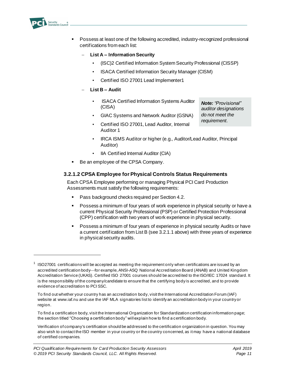

- Possess at least one of the following accredited, industry-recognized professional certifications from each list:
	- − **List A – Information Security**
		- (ISC)2 Certified Information System Security Professional (CISSP)
		- ISACA Certified Information Security Manager (CISM)
		- Certified ISO 27001 Lead Implementer1
	- − **List B – Audit**
		- ISACA Certified Information Systems Auditor (CISA)

*Note: "Provisional" auditor designations do not meet the requirement.*

- GIAC Systems and Network Auditor (GSNA)
- Certified ISO 27001, Lead Auditor, Internal Auditor 1
- IRCA ISMS Auditor or higher (e.g., Auditor/Lead Auditor, Principal Auditor)
- IIA Certified Internal Auditor (CIA)
- Be an employee of the CPSA Company.

#### **3.2.1.2 CPSA Employee for Physical Controls Status Requirements**

Each CPSA Employee performing or managing Physical PCI Card Production Assessments must satisfy the following requirements:

- Pass background checks required per Section 4.2.
- Possess a minimum of four years of work experience in physical security or have a current Physical Security Professional (PSP) or Certified Protection Professional (CPP) certification with two years of work experience in physical security.
- Possess a minimum of four years of experience in physical security Audits or have a current certification from List B (see 3.2.1.1 above) with three years of experience in physical security audits.

 $1$  ISO27001 certifications will be accepted as meeting the requirement only when certifications are issued by an accredited certification body—for example, ANSI-ASQ National Accreditation Board (ANAB) and United Kingdom Accreditation Service (UKAS). Certified ISO 27001 courses should be accredited to the ISO/IEC 17024 standard. It is the responsibility of the company/candidate to ensure that the certifying body is accredited, and to provide evidence of accreditation to PCI SSC.

To find out whether your country has an accreditation body, visit the International Accreditation Forum (IAF) website at www.iaf.nu and use the IAF MLA signatories list to identify an accreditation body in your country or region.

To find a certification body, visit the International Organization for Standardization certification information page; the section titled "Choosing a certification body" will explain how to find a certification body.

Verification of company's certification should be addressed to the certification organization in question. You may also wish to contact the ISO member in your country or the country concerned, as it may have a national database of certified companies.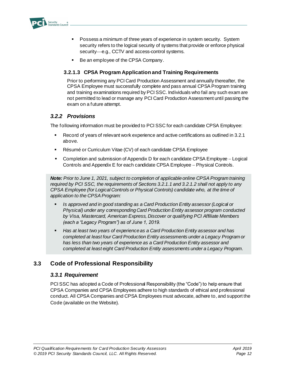

- Possess a minimum of three years of experience in system security. System security refers to the logical security of systems that provide or enforce physical security—e.g., CCTV and access-control systems.
- Be an employee of the CPSA Company.

#### **3.2.1.3 CPSA Program Application and Training Requirements**

Prior to performing any PCI Card Production Assessment and annually thereafter, the CPSA Employee must successfully complete and pass annual CPSA Program training and training examinations required by PCI SSC. Individuals who fail any such exam are not permitted to lead or manage any PCI Card Production Assessment until passing the exam on a future attempt.

### *3.2.2 Provisions*

The following information must be provided to PCI SSC for each candidate CPSA Employee:

- Record of years of relevant work experience and active certifications as outlined in 3.2.1 above.
- Résumé or Curriculum Vitae (CV) of each candidate CPSA Employee
- Completion and submission of Appendix D for each candidate CPSA Employee − Logical Controls and Appendix E for each candidate CPSA Employee − Physical Controls.

*Note: Prior to June 1, 2021, subject to completion of applicable online CPSA Program training required by PCI SSC, the requirements of Sections 3.2.1.1 and 3.2.1.2 shall not apply to any CPSA Employee (for Logical Controls or Physical Controls) candidate who, at the time of application to the CPSA Program:*

- Is approved and in good standing as a Card Production Entity assessor (Logical or *Physical) under any corresponding Card Production Entity assessor program conducted by Visa, Mastercard, American Express, Discover or qualifying PCI Affiliate Members (each a "Legacy Program") as of June 1, 2019.*
- Has at least two years of experience as a Card Production Entity assessor and has *completed at least four Card Production Entity assessments under a Legacy Program or has less than two years of experience as a Card Production Entity assessor and completed at least eight Card Production Entity assessments under a Legacy Program.*

# <span id="page-14-0"></span>**3.3 Code of Professional Responsibility**

### *3.3.1 Requirement*

PCI SSC has adopted a Code of Professional Responsibility (the "Code") to help ensure that CPSA Companies and CPSA Employees adhere to high standards of ethical and professional conduct. All CPSA Companies and CPSA Employees must advocate, adhere to, and support the Code (available on the Website).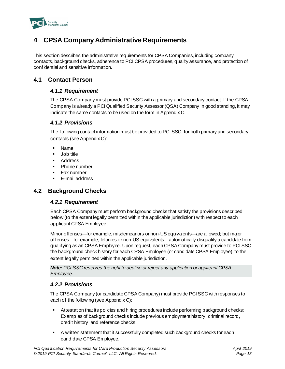

# <span id="page-15-0"></span>**4 CPSA Company Administrative Requirements**

This section describes the administrative requirements for CPSA Companies, including company contacts, background checks, adherence to PCI CPSA procedures, quality assurance, and protection of confidential and sensitive information.

## <span id="page-15-1"></span>**4.1 Contact Person**

### *4.1.1 Requirement*

The CPSA Company must provide PCI SSC with a primary and secondary contact. If the CPSA Company is already a PCI Qualified Security Assessor (QSA) Company in good standing, it may indicate the same contacts to be used on the form in Appendix C.

### *4.1.2 Provisions*

The following contact information must be provided to PCI SSC, for both primary and secondary contacts (see Appendix C):

- **Name**
- Job title
- **Address**
- Phone number
- Fax number
- E-mail address

# <span id="page-15-2"></span>**4.2 Background Checks**

### *4.2.1 Requirement*

Each CPSA Company must perform background checks that satisfy the provisions described below (to the extent legally permitted within the applicable jurisdiction) with respect to each applicant CPSA Employee.

Minor offenses—for example, misdemeanors or non-US equivalents—are allowed; but major offenses—for example, felonies or non-US equivalents—automatically disqualify a candidate from qualifying as an CPSA Employee. Upon request, each CPSA Company must provide to PCI SSC the background check history for each CPSA Employee (or candidate CPSA Employee), to the extent legally permitted within the applicable jurisdiction.

*Note: PCI SSC reserves the right to decline or reject any application or applicant CPSA Employee.*

## *4.2.2 Provisions*

The CPSA Company (or candidate CPSA Company) must provide PCI SSC with responses to each of the following (see Appendix C):

- Attestation that its policies and hiring procedures include performing background checks: Examples of background checks include previous employment history, criminal record, credit history, and reference checks.
- A written statement that it successfully completed such background checks for each candidate CPSA Employee.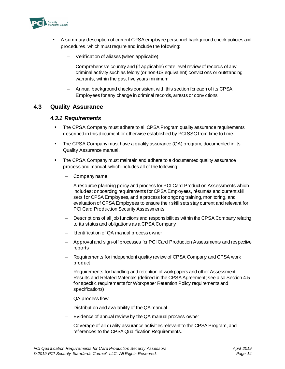

- A summary description of current CPSA employee personnel background check policies and procedures, which must require and include the following:
	- − Verification of aliases (when applicable)
	- − Comprehensive country and (if applicable) state level review of records of any criminal activity such as felony (or non-US equivalent) convictions or outstanding warrants, within the past five years minimum
	- − Annual background checks consistent with this section for each of its CPSA Employees for any change in criminal records, arrests or convictions

### <span id="page-16-0"></span>**4.3 Quality Assurance**

#### *4.3.1 Requirements*

- **The CPSA Company must adhere to all CPSA Program quality assurance requirements** described in this document or otherwise established by PCI SSC from time to time.
- **•** The CPSA Company must have a quality assurance (QA) program, documented in its Quality Assurance manual.
- The CPSA Company must maintain and adhere to a documented quality assurance process and manual, which includes all of the following:
	- − Company name
	- − A resource planning policy and process for PCI Card Production Assessments which includes: onboarding requirements for CPSA Employees, résumés and current skill sets for CPSA Employees, and a process for ongoing training, monitoring, and evaluation of CPSA Employees to ensure their skill sets stay current and relevant for PCI Card Production Security Assessments
	- − Descriptions of all job functions and responsibilities within the CPSA Company relating to its status and obligations as a CPSA Company
	- − Identification of QA manual process owner
	- − Approval and sign-off processes for PCI Card Production Assessments and respective reports
	- − Requirements for independent quality review of CPSA Company and CPSA work product
	- − Requirements for handling and retention of workpapers and other Assessment Results and Related Materials (defined in the CPSA Agreement; see also Section 4.5 for specific requirements for Workpaper Retention Policy requirements and specifications)
	- − QA process flow
	- − Distribution and availability of the QA manual
	- − Evidence of annual review by the QA manual process owner
	- − Coverage of all quality assurance activities relevant to the CPSA Program, and references to the CPSA Qualification Requirements.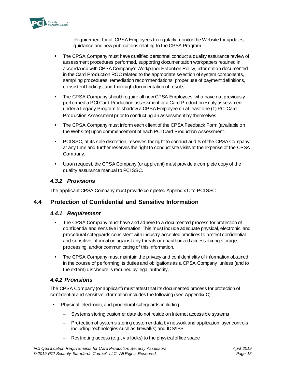

- Requirement for all CPSA Employees to regularly monitor the Website for updates, guidance and new publications relating to the CPSA Program
- The CPSA Company must have qualified personnel conduct a quality assurance review of assessment procedures performed, supporting documentation workpapers retained in accordance with CPSA Company's Workpaper Retention Policy, information documented in the Card Production ROC related to the appropriate selection of system components, sampling procedures, remediation recommendations, proper use of payment definitions, consistent findings, and thorough documentation of results.
- **The CPSA Company should require all new CPSA Employees, who have not previously** performed a PCI Card Production assessment or a Card Production Entity assessment under a Legacy Program to shadow a CPSA Employee on at least one (1) PCI Card Production Assessment prior to conducting an assessment by themselves.
- **The CPSA Company must inform each client of the CPSA Feedback Form (available on** the Website) upon commencement of each PCI Card Production Assessment.
- PCI SSC, at its sole discretion, reserves the right to conduct audits of the CPSA Company at any time and further reserves the right to conduct site visits at the expense of the CPSA Company.
- Upon request, the CPSA Company (or applicant) must provide a complete copy of the quality assurance manual to PCI SSC.

## *4.3.2 Provisions*

The applicant CPSA Company must provide completed Appendix C to PCI SSC.

# <span id="page-17-0"></span>**4.4 Protection of Confidential and Sensitive Information**

### *4.4.1 Requirement*

- The CPSA Company must have and adhere to a documented process for protection of confidential and sensitive information. This must include adequate physical, electronic, and procedural safeguards consistent with industry-accepted practices to protect confidential and sensitive information against any threats or unauthorized access during storage, processing, and/or communicating of this information.
- **•** The CPSA Company must maintain the privacy and confidentiality of information obtained in the course of performing its duties and obligations as a CPSA Company, unless (and to the extent) disclosure is required by legal authority.

## *4.4.2 Provisions*

The CPSA Company (or applicant) must attest that its documented process for protection of confidential and sensitive information includes the following (see Appendix C):

- Physical, electronic, and procedural safeguards including:
	- Systems storing customer data do not reside on Internet accessible systems
	- Protection of systems storing customer data by network and application layer controls including technologies such as firewall(s) and IDS/IPS
	- Restricting access (e.g., via locks) to the physical office space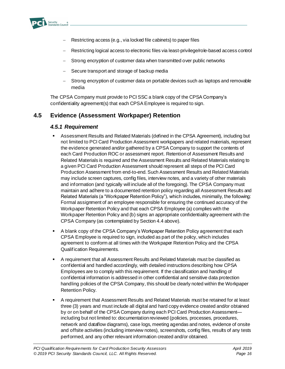

- Restricting access (e.g., via locked file cabinets) to paper files
- − Restricting logical access to electronic files via least-privilege/role-based access control
- Strong encryption of customer data when transmitted over public networks
- Secure transport and storage of backup media
- Strong encryption of customer data on portable devices such as laptops and removable media

The CPSA Company must provide to PCI SSC a blank copy of the CPSA Company's confidentiality agreement(s) that each CPSA Employee is required to sign.

## <span id="page-18-0"></span>**4.5 Evidence (Assessment Workpaper) Retention**

### *4.5.1 Requirement*

- Assessment Results and Related Materials (defined in the CPSA Agreement), including but not limited to PCI Card Production Assessment workpapers and related materials, represent the evidence generated and/or gathered by a CPSA Company to support the contents of each Card Production ROC or assessment report. Retention of Assessment Results and Related Materials is required and the Assessment Results and Related Materials relating to a given PCI Card Production Assessment should represent all steps of the PCI Card Production Assessment from end-to-end. Such Assessment Results and Related Materials may include screen captures, config files, interview notes, and a variety of other materials and information (and typically will include all of the foregoing). The CPSA Company must maintain and adhere to a documented retention policy regarding all Assessment Results and Related Materials (a "Workpaper Retention Policy"), which includes, minimally, the following: Formal assignment of an employee responsible for ensuring the continued accuracy of the Workpaper Retention Policy and that each CPSA Employee (a) complies with the Workpaper Retention Policy and (b) signs an appropriate confidentiality agreement with the CPSA Company (as contemplated by Section 4.4 above).
- A blank copy of the CPSA Company's Workpaper Retention Policy agreement that each CPSA Employee is required to sign, included as part of the policy, which includes agreement to conform at all times with the Workpaper Retention Policy and the CPSA Qualification Requirements.
- A requirement that all Assessment Results and Related Materials must be classified as confidential and handled accordingly, with detailed instructions describing how CPSA Employees are to comply with this requirement. If the classification and handling of confidential information is addressed in other confidential and sensitive data protection handling policies of the CPSA Company, this should be clearly noted within the Workpaper Retention Policy.
- A requirement that Assessment Results and Related Materials must be retained for at least three (3) years and must include all digital and hard copy evidence created and/or obtained by or on behalf of the CPSA Company during each PCI Card Production Assessment including but not limited to: documentation reviewed (policies, processes, procedures, network and dataflow diagrams), case logs, meeting agendas and notes, evidence of onsite and offsite activities (including interview notes), screenshots, config files, results of any tests performed, and any other relevant information created and/or obtained.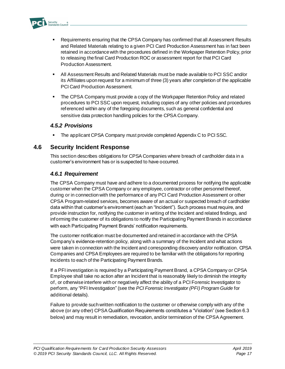

- Requirements ensuring that the CPSA Company has confirmed that all Assessment Results and Related Materials relating to a given PCI Card Production Assessment has in fact been retained in accordance with the procedures defined in the Workpaper Retention Policy, prior to releasing the final Card Production ROC or assessment report for that PCI Card Production Assessment.
- All Assessment Results and Related Materials must be made available to PCI SSC and/or its Affiliates upon request for a minimum of three (3) years after completion of the applicable PCI Card Production Assessment.
- The CPSA Company must provide a copy of the Workpaper Retention Policy and related procedures to PCI SSC upon request, including copies of any other policies and procedures referenced within any of the foregoing documents, such as general confidential and sensitive data protection handling policies for the CPSA Company.

### *4.5.2 Provisions*

The applicant CPSA Company must provide completed Appendix C to PCI SSC.

## <span id="page-19-0"></span>**4.6 Security Incident Response**

This section describes obligations for CPSA Companies where breach of cardholder data in a customer's environment has or is suspected to have occurred.

## *4.6.1 Requirement*

The CPSA Company must have and adhere to a documented process for notifying the applicable customer when the CPSA Company or any employee, contractor or other personnel thereof, during or in connection with the performance of any PCI Card Production Assessment or other CPSA Program-related services, becomes aware of an actual or suspected breach of cardholder data within that customer's environment (each an "Incident"). Such process must require, and provide instruction for, notifying the customer in writing of the Incident and related findings, and informing the customer of its obligations to notify the Participating Payment Brands in accordance with each Participating Payment Brands' notification requirements.

The customer notification must be documented and retained in accordance with the CPSA Company's evidence-retention policy, along with a summary of the Incident and what actions were taken in connection with the Incident and corresponding discovery and/or notification. CPSA Companies and CPSA Employees are required to be familiar with the obligations for reporting Incidents to each of the Participating Payment Brands.

If a PFI investigation is required by a Participating Payment Brand, a CPSA Company or CPSA Employee shall take no action after an Incident that is reasonably likely to diminish the integrity of, or otherwise interfere with or negatively affect the ability of a PCI Forensic Investigator to perform, any "PFI Investigation" (see the *PCI Forensic Investigator (PFI) Program Guide* for additional details).

Failure to provide such written notification to the customer or otherwise comply with any of the above (or any other) CPSA Qualification Requirements constitutes a "Violation" (see Section 6.3 below) and may result in remediation, revocation, and/or termination of the CPSA Agreement.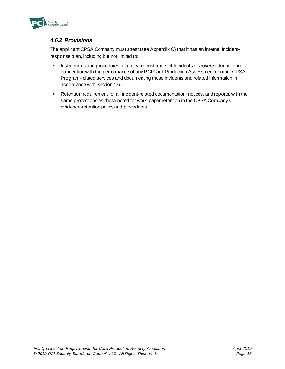

# *4.6.2 Provisions*

The applicant CPSA Company must attest (see Appendix C) that it has an internal Incidentresponse plan, including but not limited to:

- **EXECUTE:** Instructions and procedures for notifying customers of Incidents discovered during or in connection with the performance of any PCI Card Production Assessment or other CPSA Program-related services and documenting those Incidents and related information in accordance with Section 4.6.1.
- Retention requirement for all incident-related documentation, notices, and reports, with the same protections as those noted for work-paper retention in the CPSA Company's evidence-retention policy and procedures.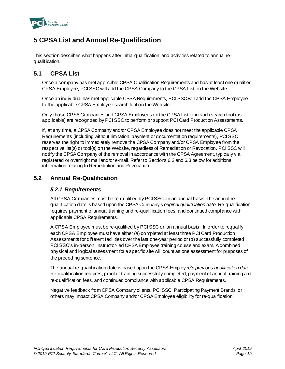

# <span id="page-21-0"></span>**5 CPSA List and Annual Re-Qualification**

This section describes what happens after initial qualification, and activities related to annual requalification.

# <span id="page-21-1"></span>**5.1 CPSA List**

Once a company has met applicable CPSA Qualification Requirements and has at least one qualified CPSA Employee, PCI SSC will add the CPSA Company to the CPSA List on the Website.

Once an individual has met applicable CPSA Requirements, PCI SSC will add the CPSA Employee to the applicable CPSA Employee search tool on the Website.

Only those CPSA Companies and CPSA Employees on the CPSA List or in such search tool (as applicable) are recognized by PCI SSC to perform or support PCI Card Production Assessments.

If, at any time, a CPSA Company and/or CPSA Employee does not meet the applicable CPSA Requirements (including without limitation, payment or documentation requirements), PCI SSC reserves the right to immediately remove the CPSA Company and/or CPSA Employee from the respective list(s) or tool(s) on the Website, regardless of Remediation or Revocation. PCI SSC will notify the CPSA Company of the removal in accordance with the CPSA Agreement, typically via registered or overnight mail and/or e-mail. Refer to Sections 6.2 and 6.3 below for additional information relating to Remediation and Revocation.

## <span id="page-21-2"></span>**5.2 Annual Re-Qualification**

### *5.2.1 Requirements*

All CPSA Companies must be re-qualified by PCI SSC on an annual basis. The annual requalification date is based upon the CPSA Company's *original qualification date*. Re-qualification requires payment of annual training and re-qualification fees, and continued compliance with applicable CPSA Requirements.

A CPSA Employee must be re-qualified by PCI SSC on an annual basis. In order to requalify, each CPSA Employee must have either (a) completed at least three PCI Card Production Assessments for different facilities over the last one-year period or (b) successfully completed PCI SSC's in-person, instructor-led CPSA Employee training course and exam. A combined physical and logical assessment for a specific site will count as one assessment for purposes of the preceding sentence.

The annual re-qualification date is based upon the CPSA Employee's *previous qualification date*. Re-qualification requires, proof of training successfully completed, payment of annual training and re-qualification fees, and continued compliance with applicable CPSA Requirements.

Negative feedback from CPSA Company clients, PCI SSC, Participating Payment Brands, or others may impact CPSA Company and/or CPSA Employee eligibility for re-qualification.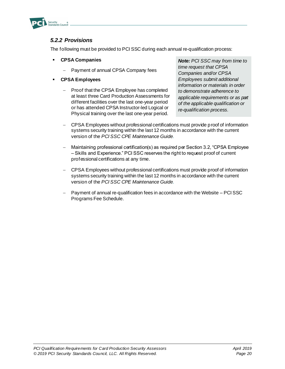

## *5.2.2 Provisions*

The following must be provided to PCI SSC during each annual re-qualification process:

- **CPSA Companies**
	- − Payment of annual CPSA Company fees
- **CPSA Employees**
	- Proof that the CPSA Employee has completed at least three Card Production Assessments for different facilities over the last one-year period or has attended CPSA Instructor-led Logical or Physical training over the last one-year period.

*Note: PCI SSC may from time to time request that CPSA Companies and/or CPSA Employees submit additional information or materials in order to demonstrate adherence to applicable requirements or as part of the applicable qualification or re-qualification process.*

- CPSA Employees without professional certifications must provide proof of information systems security training within the last 12 months in accordance with the current version of the *PCI SSC CPE [Maintenance Guide](https://www.pcisecuritystandards.org/documents/PCI_SSC_CPE_Maintenance_Guide.pdf).*
- − Maintaining professional certification(s) as required per Section 3.2, "CPSA Employee – Skills and Experience." PCI SSC reserves the right to request proof of current professional certifications at any time.
- − CPSA Employees without professional certifications must provide proof of information systems security training within the last 12 months in accordance with the current version of the *PCI SSC CPE [Maintenance Guide](https://www.pcisecuritystandards.org/documents/PCI_SSC_CPE_Maintenance_Guide_v4.0_Apr_2019.pdf?agreement=true&time=1575579891522).*
- Payment of annual re-qualification fees in accordance with the Website PCI SSC Programs Fee Schedule.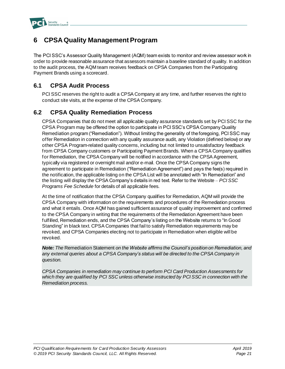

# <span id="page-23-0"></span>**6 CPSA Quality Management Program**

The PCI SSC's Assessor Quality Management (AQM) team exists to monitor and review assessor work in order to provide reasonable assurance that assessors maintain a baseline standard of quality. In addition to the audit process, the AQM team receives feedback on CPSA Companies from the Participating Payment Brands using a scorecard.

# <span id="page-23-1"></span>**6.1 CPSA Audit Process**

PCI SSC reserves the right to audit a CPSA Company at any time, and further reserves the right to conduct site visits, at the expense of the CPSA Company.

# <span id="page-23-2"></span>**6.2 CPSA Quality Remediation Process**

CPSA Companies that do not meet all applicable quality assurance standards set by PCI SSC for the CPSA Program may be offered the option to participate in PCI SSC's CPSA Company Quality Remediation program ("Remediation"). Without limiting the generality of the foregoing, PCI SSC may offer Remediation in connection with any quality assurance audit, any Violation (defined below) or any other CPSA Program-related quality concerns, including but not limited to unsatisfactory feedback from CPSA Company customers or Participating Payment Brands. When a CPSA Company qualifies for Remediation, the CPSA Company will be notified in accordance with the CPSA Agreement, typically via registered or overnight mail and/or e-mail. Once the CPSA Company signs the agreement to participate in Remediation ("Remediation Agreement") and pays the fee(s) required in the notification, the applicable listing on the CPSA List will be annotated with "In Remediation" and the listing will display the CPSA Company's details in red text. Refer to the Website – *PCI SSC Programs Fee Schedule* for details of all applicable fees.

At the time of notification that the CPSA Company qualifies for Remediation, AQM will provide the CPSA Company with information on the requirements and procedures of the Remediation process and what it entails. Once AQM has gained sufficient assurance of quality improvement and confirmed to the CPSA Company in writing that the requirements of the Remediation Agreement have been fulfilled, Remediation ends, and the CPSA Company's listing on the Website returns to "In Good Standing" in black text. CPSA Companies that fail to satisfy Remediation requirements may be revoked, and CPSA Companies electing not to participate in Remediation when eligible will be revoked.

*Note: The* Remediation Statement *on the Website affirms the Council's position on Remediation, and any external queries about a CPSA Company's status will be directed to the CPSA Company in question.*

*CPSA Companies in remediation may continue to perform PCI Card Production Assessments for which they are qualified by PCI SSC unless otherwise instructed by PCI SSC in connection with the Remediation process.*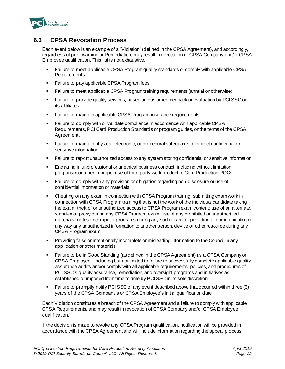

# <span id="page-24-0"></span>**6.3 CPSA Revocation Process**

Each event below is an example of a "Violation" (defined in the CPSA Agreement), and accordingly, regardless of prior warning or Remediation, may result in revocation of CPSA Company and/or CPSA Employee qualification. This list is not exhaustive.

- Failure to meet applicable CPSA Program quality standards or comply with applicable CPSA Requirements
- Failure to pay applicable CPSA Program fees
- Failure to meet applicable CPSA Program training requirements (annual or otherwise)
- Failure to provide quality services, based on customer feedback or evaluation by PCI SSC or its affiliates
- Failure to maintain applicable CPSA Program insurance requirements
- Failure to comply with or validate compliance in accordance with applicable CPSA Requirements, PCI Card Production Standards or program guides, or the terms of the CPSA Agreement.
- Failure to maintain physical, electronic, or procedural safeguards to protect confidential or sensitive information
- Failure to report unauthorized access to any system storing confidential or sensitive information
- **Engaging in unprofessional or unethical business conduct, including without limitation,** plagiarism or other improper use of third-party work product in Card Production ROCs.
- **Example to comply with any provision or obligation regarding non-disclosure or use of** confidential information or materials
- **•** Cheating on any exam in connection with CPSA Program training; submitting exam work in connection with CPSA Program training that is not the work of the individual candidate taking the exam; theft of or unauthorized access to CPSA Program exam content; use of an alternate, stand-in or proxy during any CPSA Program exam; use of any prohibited or unauthorized materials, notes or computer programs during any such exam; or providing or communicating in any way any unauthorized information to another person, device or other resource during any CPSA Program exam
- **•** Providing false or intentionally incomplete or misleading information to the Council in any application or other materials
- Failure to be in Good Standing (as defined in the CPSA Agreement) as a CPSA Company or CPSA Employee, including but not limited to failure to successfully complete applicable quality assurance audits and/or comply with all applicable requirements, policies, and procedures of PCI SSC's quality assurance, remediation, and oversight programs and initiatives as established or imposed from time to time by PCI SSC in its sole discretion
- Failure to promptly notify PCI SSC of any event described above that occurred within three (3) years of the CPSA Company's or CPSA Employee's initial qualification date

Each Violation constitutes a breach of the CPSA Agreement and a failure to comply with applicable CPSA Requirements, and may result in revocation of CPSA Company and/or CPSA Employee qualification.

If the decision is made to revoke any CPSA Program qualification, notification will be provided in accordance with the CPSA Agreement and will include information regarding the appeal process.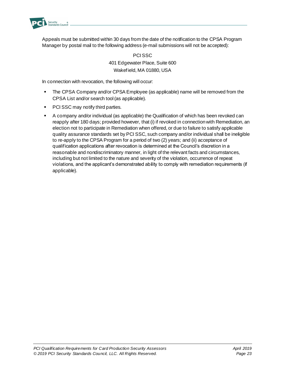

Appeals must be submitted within 30 days from the date of the notification to the CPSA Program Manager by postal mail to the following address (e-mail submissions will not be accepted):

> PCI SSC 401 Edgewater Place, Suite 600 Wakefield, MA 01880, USA

In connection with revocation, the following will occur:

- **•** The CPSA Company and/or CPSA Employee (as applicable) name will be removed from the CPSA List and/or search tool (as applicable).
- PCI SSC may notify third parties.
- A company and/or individual (as applicable) the Qualification of which has been revoked can reapply after 180 days; provided however, that (i) if revoked in connection with Remediation, an election not to participate in Remediation when offered, or due to failure to satisfy applicable quality assurance standards set by PCI SSC, such company and/or individual shall be ineligible to re-apply to the CPSA Program for a period of two (2) years; and (ii) acceptance of qualification applications after revocation is determined at the Council's discretion in a reasonable and nondiscriminatory manner, in light of the relevant facts and circumstances, including but not limited to the nature and severity of the violation, occurrence of repeat violations, and the applicant's demonstrated ability to comply with remediation requirements (if applicable).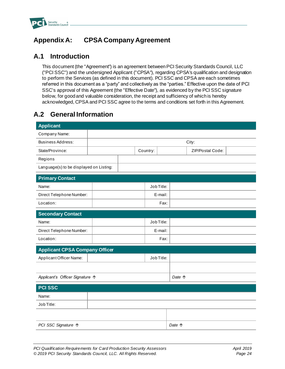

# <span id="page-26-0"></span>**Appendix A: CPSA Company Agreement**

# **A.1 Introduction**

This document (the "Agreement") is an agreement between PCI Security Standards Council, LLC ("PCI SSC") and the undersigned Applicant ("CPSA"), regarding CPSA's qualification and designation to perform the Services (as defined in this document). PCI SSC and CPSA are each sometimes referred in this document as a "party" and collectively as the "parties." Effective upon the date of PCI SSC's approval of this Agreement (the "Effective Date"), as evidenced by the PCI SSC signature below, for good and valuable consideration, the receipt and sufficiency of which is hereby acknowledged, CPSA and PCI SSC agree to the terms and conditions set forth in this Agreement.

# **A.2 General Information**

| <b>Applicant</b>                        |         |  |          |            |  |                  |
|-----------------------------------------|---------|--|----------|------------|--|------------------|
| Company Name:                           |         |  |          |            |  |                  |
| <b>Business Address:</b>                | City:   |  |          |            |  |                  |
| State/Province:                         |         |  | Country: |            |  | ZIP/Postal Code: |
| Regions                                 |         |  |          |            |  |                  |
| Language(s) to be displayed on Listing: |         |  |          |            |  |                  |
| <b>Primary Contact</b>                  |         |  |          |            |  |                  |
| Name:                                   |         |  |          | Job Title: |  |                  |
| Direct Telephone Number:                |         |  |          | E-mail:    |  |                  |
| Location:                               |         |  |          | Fax:       |  |                  |
| <b>Secondary Contact</b>                |         |  |          |            |  |                  |
| Name:                                   |         |  |          | Job Title: |  |                  |
| Direct Telephone Number:                | E-mail: |  |          |            |  |                  |
| Location:                               | Fax:    |  |          |            |  |                  |
| <b>Applicant CPSA Company Officer</b>   |         |  |          |            |  |                  |
| Applicant Officer Name:                 |         |  |          | Job Title: |  |                  |
|                                         |         |  |          |            |  |                  |
| Applicant's Officer Signature 个         |         |  | Date 个   |            |  |                  |
| <b>PCI SSC</b>                          |         |  |          |            |  |                  |
| Name:                                   |         |  |          |            |  |                  |
| Job Title:                              |         |  |          |            |  |                  |
|                                         |         |  |          |            |  |                  |
|                                         |         |  |          |            |  |                  |
| PCI SSC Signature ↑                     |         |  |          | Date 1     |  |                  |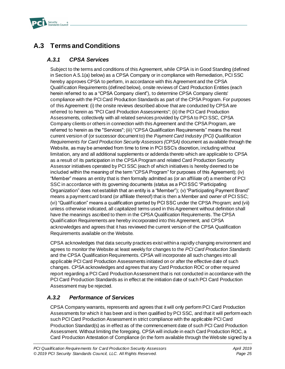

# **A.3 Terms and Conditions**

## *A.3.1 CPSA Services*

Subject to the terms and conditions of this Agreement, while CPSA is in Good Standing (defined in Section A.5.1(a) below) as a CPSA Company or in compliance with Remediation, PCI SSC hereby approves CPSA to perform, in accordance with this Agreement and the CPSA Qualification Requirements (defined below), onsite reviews of Card Production Entities (each herein referred to as a "CPSA Company client"), to determine CPSA Company clients' compliance with the PCI Card Production Standards as part of the CPSA Program. For purposes of this Agreement: (i) the onsite reviews described above that are conducted by CPSA are referred to herein as "PCI Card Production Assessments"; (ii) the PCI Card Production Assessments, collectively with all related services provided by CPSA to PCI SSC, CPSA Company clients or others in connection with this Agreement and the CPSA Program, are referred to herein as the "Services"; (iii) "CPSA Qualification Requirements" means the most current version of (or successor document to) the *Payment Card Industry (PCI) Qualification Requirements for Card Production Security Assessors (CPSA)* document as available through the Website, as may be amended from time to time in PCI SSC's discretion, including without limitation, any and all additional supplements or addenda thereto which are applicable to CPSA as a result of its participation in the CPSA Program and related Card Production Security Assessor initiatives operated by PCI SSC (each of which initiatives is hereby deemed to be included within the meaning of the term "CPSA Program" for purposes of this Agreement); (iv) "Member" means an entity that is then formally admitted as (or an affiliate of) a member of PCI SSC in accordance with its governing documents (status as a PCI SSC "Participating Organization" does not establish that an entity is a "Member"); (v) "Participating Payment Brand" means a payment card brand (or affiliate thereof) that is then a Member and owner of PCI SSC; (vi) "Qualification" means a qualification granted by PCI SSC under the CPSA Program; and (vii) unless otherwise indicated, all capitalized terms used in this Agreement without definition shall have the meanings ascribed to them in the CPSA Qualification Requirements. The CPSA Qualification Requirements are hereby incorporated into this Agreement, and CPSA acknowledges and agrees that it has reviewed the current version of the CPSA Qualification Requirements available on the Website.

CPSA acknowledges that data security practices exist within a rapidly changing environment and agrees to monitor the Website at least weekly for changes to the *PCI Card Production Standards* and the CPSA Qualification Requirements. CPSA will incorporate all such changes into all applicable PCI Card Production Assessments initiated on or after the effective date of such changes. CPSA acknowledges and agrees that any Card Production ROC or other required report regarding a PCI Card Production Assessment that is not conducted in accordance with the PCI Card Production Standards as in effect at the initiation date of such PCI Card Production Assessment may be rejected.

# *A.3.2 Performance of Services*

CPSA Company warrants, represents and agrees that it will only perform PCI Card Production Assessments for which it has been and is then qualified by PCI SSC, and that it will perform each such PCI Card Production Assessment in strict compliance with the applicable PCI Card Production Standard(s) as in effect as of the commencement date of such PCI Card Production Assessment. Without limiting the foregoing, CPSA will include in each Card Production ROC, a Card Production Attestation of Compliance (in the form available through the Website signed by a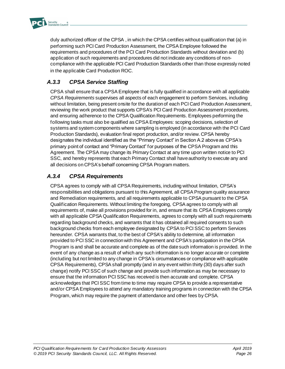

duly authorized officer of the CPSA , in which the CPSA certifies without qualification that (a) in performing such PCI Card Production Assessment, the CPSA Employee followed the requirements and procedures of the PCI Card Production Standards without deviation and (b) application of such requirements and procedures did not indicate any conditions of noncompliance with the applicable PCI Card Production Standards other than those expressly noted in the applicable Card Production ROC.

# *A.3.3 CPSA Service Staffing*

CPSA shall ensure that a CPSA Employee that is fully qualified in accordance with all applicable *CPSA Requirements* supervises all aspects of each engagement to perform Services, including without limitation, being present onsite for the duration of each PCI Card Production Assessment, reviewing the work product that supports CPSA's PCI Card Production Assessment procedures, and ensuring adherence to the CPSA Qualification Requirements*.* Employees performing the following tasks must also be qualified as CPSA Employees: scoping decisions, selection of systems and system components where sampling is employed (in accordance with the PCI Card Production Standards), evaluation final report production, and/or review. CPSA hereby designates the individual identified as the "Primary Contact" in Section A.2 above as CPSA's primary point of contact and "Primary Contact" for purposes of the CPSA Program and this Agreement. The CPSA may change its Primary Contact at any time upon written notice to PCI SSC, and hereby represents that each Primary Contact shall have authority to execute any and all decisions on CPSA's behalf concerning CPSA Program matters.

# *A.3.4 CPSA Requirements*

CPSA agrees to comply with all CPSA Requirements, including without limitation, CPSA's responsibilities and obligations pursuant to this Agreement, all CPSA Program quality assurance and Remediation requirements, and all requirements applicable to CPSA pursuant to the CPSA Qualification Requirements. Without limiting the foregoing, CPSA agrees to comply with all requirements of, make all provisions provided for in, and ensure that its CPSA Employees comply with all applicable CPSA Qualification Requirements, agrees to comply with all such requirements regarding background checks, and warrants that it has obtained all required consents to such background checks from each employee designated by CPSA to PCI SSC to perform Services hereunder. CPSA warrants that, to the best of CPSA's ability to determine, all information provided to PCI SSC in connection with this Agreement and CPSA's participation in the CPSA Program is and shall be accurate and complete as of the date such information is provided. In the event of any change as a result of which any such information is no longer accurate or complete (including but not limited to any change in CPSA's circumstances or compliance with applicable CPSA Requirements), CPSA shall promptly (and in any event within thirty (30) days after such change) notify PCI SSC of such change and provide such information as may be necessary to ensure that the information PCI SSC has received is then accurate and complete. CPSA acknowledges that PCI SSC from time to time may require CPSA to provide a representative and/or CPSA Employees to attend any mandatory training programs in connection with the CPSA Program, which may require the payment of attendance and other fees by CPSA.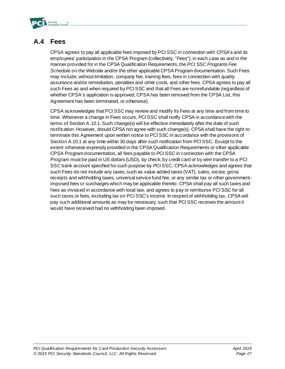

# **A.4 Fees**

CPSA agrees to pay all applicable fees imposed by PCI SSC in connection with CPSA's and its employees' participation in the CPSA Program (collectively, "Fees"), in each case as and in the manner provided for in the CPSA Qualification Requirements, the *PCI SSC Programs Fee Schedule* on the Website and/or the other applicable CPSA Program documentation. Such Fees may include, without limitation, company fee, training fees, fees in connection with quality assurance and/or remediation, penalties and other costs, and other fees. CPSA agrees to pay all such Fees as and when required by PCI SSC and that all Fees are nonrefundable (regardless of whether CPSA's application is approved, CPSA has been removed from the CPSA List, this Agreement has been terminated, or otherwise).

CPSA acknowledges that PCI SSC may review and modify its Fees at any time and from time to time. Whenever a change in Fees occurs, PCI SSC shall notify CPSA in accordance with the terms of Section A.10.1. Such change(s) will be effective immediately after the date of such notification. However, should CPSA not agree with such change(s), CPSA shall have the right to terminate this Agreement upon written notice to PCI SSC in accordance with the provisions of Section A.10.1 at any time within 30 days after such notification from PCI SSC. Except to the extent otherwise expressly provided in the CPSA Qualification Requirements or other applicable CPSA Program documentation, all fees payable to PCI SSC in connection with the CPSA Program must be paid in US dollars (USD), by check, by credit card or by wire transfer to a PCI SSC bank account specified for such purpose by PCI SSC. CPSA acknowledges and agrees that such Fees do not include any taxes, such as value added taxes (VAT), sales, excise, gross receipts and withholding taxes, universal service fund fee, or any similar tax or other governmentimposed fees or surcharges which may be applicable thereto. CPSA shall pay all such taxes and fees as invoiced in accordance with local law, and agrees to pay or reimburse PCI SSC for all such taxes or fees, excluding tax on PCI SSC's income. In respect of withholding tax, CPSA will pay such additional amounts as may be necessary, such that PCI SSC receives the amount it would have received had no withholding been imposed.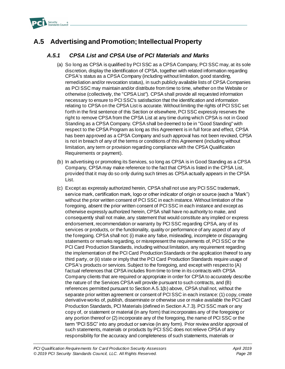

# **A.5 Advertising and Promotion; Intellectual Property**

## *A.5.1 CPSA List and CPSA Use of PCI Materials and Marks*

- (a) So long as CPSA is qualified by PCI SSC as a CPSA Company, PCI SSC may, at its sole discretion, display the identification of CPSA, together with related information regarding CPSA's status as a CPSA Company (including without limitation, good standing, remediation and/or revocation status), in such publicly available lists of CPSA Companies as PCI SSC may maintain and/or distribute from time to time, whether on the Website or otherwise (collectively, the "CPSA List"). CPSA shall provide all requested information necessary to ensure to PCI SSC's satisfaction that the identification and information relating to CPSA on the CPSA List is accurate. Without limiting the rights of PCI SSC set forth in the first sentence of this Section or elsewhere, PCI SSC expressly reserves the right to remove CPSA from the CPSA List at any time during which CPSA is not in Good Standing as a CPSA Company. CPSA shall be deemed to be in "Good Standing" with respect to the CPSA Program as long as this Agreement is in full force and effect, CPSA has been approved as a CPSA Company and such approval has not been revoked, CPSA is not in breach of any of the terms or conditions of this Agreement (including without limitation, any term or provision regarding compliance with the CPSA Qualification Requirements or payment).
- (b) In advertising or promoting its Services, so long as CPSA is in Good Standing as a CPSA Company, CPSA may make reference to the fact that CPSA is listed in the CPSA List, provided that it may do so only during such times as CPSA actually appears in the CPSA List.
- (c) Except as expressly authorized herein, CPSA shall not use any PCI SSC trademark, service mark, certification mark, logo or other indicator of origin or source (each a "Mark") without the prior written consent of PCI SSC in each instance. Without limitation of the foregoing, absent the prior written consent of PCI SSC in each instance and except as otherwise expressly authorized herein, CPSA shall have no authority to make, and consequently shall not make, any statement that would constitute any implied or express endorsement, recommendation or warranty by PCI SSC regarding CPSA, any of its services or products, or the functionality, quality or performance of any aspect of any of the foregoing. CPSA shall not: (i) make any false, misleading, incomplete or disparaging statements or remarks regarding, or misrepresent the requirements of, PCI SSC or the PCI Card Production Standards, including without limitation, any requirement regarding the implementation of the PCI Card Production Standards or the application thereof to any third party, or (ii) state or imply that the PCI Card Production Standards require usage of CPSA's products or services. Subject to the foregoing, and except with respect to (A) factual references that CPSA includes from time to time in its contracts with CPSA Company clients that are required or appropriate in order for CPSA to accurately describe the nature of the Services CPSA will provide pursuant to such contracts, and (B) references permitted pursuant to Section A.5.1(b) above, CPSA shall not, without the separate prior written agreement or consent of PCI SSC in each instance: (1) copy, create derivative works of, publish, disseminate or otherwise use or make available the PCI Card Production Standards, PCI Materials (defined in Section A.7.3). PCI SSC mark or any copy of, or statement or material (in any form) that incorporates any of the foregoing or any portion thereof or (2) incorporate any of the foregoing, the name of PCI SSC or the term "PCI SSC" into any product or service (in any form). Prior review and/or approval of such statements, materials or products by PCI SSC does not relieve CPSA of any responsibility for the accuracy and completeness of such statements, materials or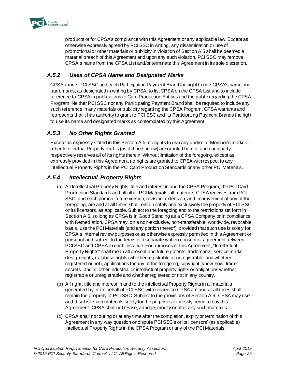

products or for CPSA's compliance with this Agreement or any applicable law. Except as otherwise expressly agreed by PCI SSC in writing, any dissemination or use of promotional or other materials or publicity in violation of Section A.5 shall be deemed a material breach of this Agreement and upon any such violation, PCI SSC may remove CPSA's name from the CPSA List and/or terminate this Agreement in its sole discretion.

# *A.5.2 Uses of CPSA Name and Designated Marks*

CPSA grants PCI SSC and each Participating Payment Brand the right to use CPSA's name and trademarks, as designated in writing by CPSA, to list CPSA on the CPSA List and to include reference to CPSA in publications to Card Production Entities and the public regarding the CPSA Program. Neither PCI SSC nor any Participating Payment Brand shall be required to include any such reference in any materials or publicity regarding the CPSA Program. CPSA warrants and represents that it has authority to grant to PCI SSC and its Participating Payment Brands the right to use its name and designated marks as contemplated by this Agreement.

# *A.5.3 No Other Rights Granted*

Except as expressly stated in this Section A.5, no rights to use any party's or Member's marks or other Intellectual Property Rights (as defined below) are granted herein, and each party respectively reserves all of its rights therein. Without limitation of the foregoing, except as expressly provided in this Agreement, no rights are granted to CPSA with respect to any Intellectual Property Rights in the PCI Card Production Standards or any other PCI Materials.

## *A.5.4 Intellectual Property Rights*

- (a) All Intellectual Property Rights, title and interest in and the CPSA Program, the PCI Card Production Standards and all other PCI Materials, all materials CPSA receives from PCI SSC, and each portion, future version, revision, extension, and improvement of any of the foregoing, are and at all times shall remain solely and exclusively the property of PCI SSC or its licensors, as applicable. Subject to the foregoing and to the restrictions set forth in Section A.6, so long as CPSA is in Good Standing as a CPSA Company or in compliance with Remediation, CPSA may, on a non-exclusive, non-transferable, worldwide, revocable basis, use the PCI Materials (and any portion thereof), provided that such use is solely for CPSA's internal review purposes or as otherwise expressly permitted in this Agreement or pursuant and subject to the terms of a separate written consent or agreement between PCI SSC and CPSA in each instance. For purposes of this Agreement, "Intellectual Property Rights" shall mean all present and future patents, trademarks, service marks, design rights, database rights (whether registrable or unregistrable, and whether registered or not), applications for any of the foregoing, copyright, know-how, trade secrets, and all other industrial or intellectual property rights or obligations whether registrable or unregistrable and whether registered or not in any country.
- (b) All right, title and interest in and to the Intellectual Property Rights in all materials generated by or on behalf of PCI SSC with respect to CPSA are and at all times shall remain the property of PCI SSC. Subject to the provisions of Section A.6, CPSA may use and disclose such materials solely for the purposes expressly permitted by this Agreement. CPSA shall not revise, abridge, modify or alter any such materials.
- (c) CPSA shall not during or at any time after the completion, expiry or termination of this Agreement in any way question or dispute PCI SSC's or its licensors' (as applicable) Intellectual Property Rights in the CPSA Program or any of the PCI Materials.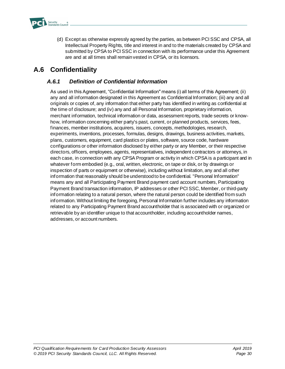

(d) Except as otherwise expressly agreed by the parties, as between PCI SSC and CPSA, all Intellectual Property Rights, title and interest in and to the materials created by CPSA and submitted by CPSA to PCI SSC in connection with its performance under this Agreement are and at all times shall remain vested in CPSA, or its licensors.

# **A.6 Confidentiality**

## *A.6.1 Definition of Confidential Information*

As used in this Agreement, "Confidential Information" means (i) all terms of this Agreement; (ii) any and all information designated in this Agreement as Confidential Information; (iii) any and all originals or copies of, any information that either party has identified in writing as confidential at the time of disclosure; and (iv) any and all Personal Information, proprietary information, merchant information, technical information or data, assessment reports, trade secrets or knowhow, information concerning either party's past, current, or planned products, services, fees, finances, member institutions, acquirers, issuers, concepts, methodologies, research, experiments, inventions, processes, formulas, designs, drawings, business activities, markets, plans, customers, equipment, card plastics or plates, software, source code, hardware configurations or other information disclosed by either party or any Member, or their respective directors, officers, employees, agents, representatives, independent contractors or attorneys, in each case, in connection with any CPSA Program or activity in which CPSA is a participant and in whatever form embodied (e.g., oral, written, electronic, on tape or disk, or by drawings or inspection of parts or equipment or otherwise), including without limitation, any and all other information that reasonably should be understood to be confidential. "Personal Information" means any and all Participating Payment Brand payment card account numbers, Participating Payment Brand transaction information, IP addresses or other PCI SSC, Member, or third-party information relating to a natural person, where the natural person could be identified from such information. Without limiting the foregoing, Personal Information further includes any information related to any Participating Payment Brand accountholder that is associated with or organized or retrievable by an identifier unique to that accountholder, including accountholder names, addresses, or account numbers.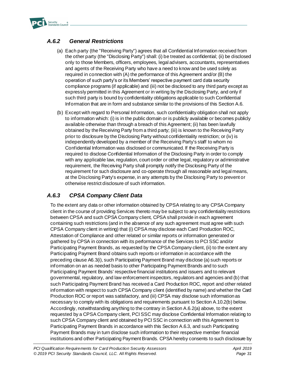

## *A.6.2 General Restrictions*

- (a) Each party (the "Receiving Party") agrees that all Confidential Information received from the other party (the "Disclosing Party") shall: (i) be treated as confidential; (ii) be disclosed only to those Members, officers, employees, legal advisers, accountants, representatives and agents of the Receiving Party who have a need to know and be used solely as required in connection with (A) the performance of this Agreement and/or (B) the operation of such party's or its Members' respective payment card data security compliance programs (if applicable) and (iii) not be disclosed to any third party except as expressly permitted in this Agreement or in writing by the Disclosing Party, and only if such third party is bound by confidentiality obligations applicable to such Confidential Information that are in form and substance similar to the provisions of this Section A.6.
- (b) Except with regard to Personal Information, such confidentiality obligation shall not apply to information which: (i) is in the public domain or is publicly available or becomes publicly available otherwise than through a breach of this Agreement; (ii) has been lawfully obtained by the Receiving Party from a third party; (iii) is known to the Receiving Party prior to disclosure by the Disclosing Party without confidentiality restriction; or (iv) is independently developed by a member of the Receiving Party's staff to whom no Confidential Information was disclosed or communicated. If the Receiving Party is required to disclose Confidential Information of the Disclosing Party in order to comply with any applicable law, regulation, court order or other legal, regulatory or administrative requirement, the Receiving Party shall promptly notify the Disclosing Party of the requirement for such disclosure and co-operate through all reasonable and legal means, at the Disclosing Party's expense, in any attempts by the Disclosing Party to prevent or otherwise restrict disclosure of such information.

## *A.6.3 CPSA Company Client Data*

To the extent any data or other information obtained by CPSA relating to any CPSA Company client in the course of providing Services thereto may be subject to any confidentiality restrictions between CPSA and such CPSA Company client, CPSA shall provide in each agreement containing such restrictions (and in the absence of any such agreement must agree with such CPSA Company client in writing) that (i) CPSA may disclose each Card Production ROC, Attestation of Compliance and other related or similar reports or information generated or gathered by CPSA in connection with its performance of the Services to PCI SSC and/or Participating Payment Brands, as requested by the CPSA Company client, (ii) to the extent any Participating Payment Brand obtains such reports or information in accordance with the preceding clause A6.3(i), such Participating Payment Brand may disclose (a) such reports or information on an as needed basis to other Participating Payment Brands and to such Participating Payment Brands' respective financial institutions and issuers and to relevant governmental, regulatory, and law enforcement inspectors, regulators and agencies and (b) that such Participating Payment Brand has received a Card Production ROC, report and other related information with respect to such CPSA Company client (identified by name) and whether the Card Production ROC or report was satisfactory, and (iii) CPSA may disclose such information as necessary to comply with its obligations and requirements pursuant to Section A.10.2(b) below. Accordingly, notwithstanding anything to the contrary in Section A.6.2(a) above, to the extent requested by a CPSA Company client, PCI SSC may disclose Confidential Information relating to such CPSA Company client and obtained by PCI SSC in connection with this Agreement to Participating Payment Brands in accordance with this Section A.6.3, and such Participating Payment Brands may in turn disclose such information to their respective member financial institutions and other Participating Payment Brands. CPSA hereby consents to such disclosure by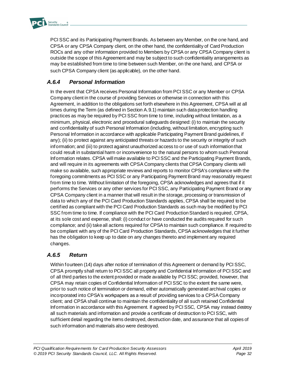

PCI SSC and its Participating Payment Brands. As between any Member, on the one hand, and CPSA or any CPSA Company client, on the other hand, the confidentiality of Card Production ROCs and any other information provided to Members by CPSA or any CPSA Company client is outside the scope of this Agreement and may be subject to such confidentiality arrangements as may be established from time to time between such Member, on the one hand, and CPSA or such CPSA Company client (as applicable), on the other hand.

# *A.6.4 Personal Information*

In the event that CPSA receives Personal Information from PCI SSC or any Member or CPSA Company client in the course of providing Services or otherwise in connection with this Agreement, in addition to the obligations set forth elsewhere in this Agreement, CPSA will at all times during the Term (as defined in Section A.9.1) maintain such data protection handling practices as may be required by PCI SSC from time to time, including without limitation, as a minimum, physical, electronic and procedural safeguards designed: (i) to maintain the security and confidentiality of such Personal Information (including, without limitation, encrypting such Personal Information in accordance with applicable Participating Payment Brand guidelines, if any); (ii) to protect against any anticipated threats or hazards to the security or integrity of such information; and (iii) to protect against unauthorized access to or use of such information that could result in substantial harm or inconvenience to the natural persons to whom such Personal Information relates. CPSA will make available to PCI SSC and the Participating Payment Brands, and will require in its agreements with CPSA Company clients that CPSA Company clients will make so available, such appropriate reviews and reports to monitor CPSA's compliance with the foregoing commitments as PCI SSC or any Participating Payment Brand may reasonably request from time to time. Without limitation of the foregoing, CPSA acknowledges and agrees that if it performs the Services or any other services for PCI SSC, any Participating Payment Brand or any CPSA Company client in a manner that will result in the storage, processing or transmission of data to which any of the PCI Card Production Standards applies, CPSA shall be required to be certified as compliant with the PCI Card Production Standards as such may be modified by PCI SSC from time to time. If compliance with the PCI Card Production Standard is required, CPSA, at its sole cost and expense, shall: (i) conduct or have conducted the audits required for such compliance; and (ii) take all actions required for CPSA to maintain such compliance. If required to be compliant with any of the PCI Card Production Standards, CPSA acknowledges that it further has the obligation to keep up to date on any changes thereto and implement any required changes.

## *A.6.5 Return*

Within fourteen (14) days after notice of termination of this Agreement or demand by PCI SSC, CPSA promptly shall return to PCI SSC all property and Confidential Information of PCI SSC and of all third parties to the extent provided or made available by PCI SSC; provided, however, that CPSA may retain copies of Confidential Information of PCI SSC to the extent the same were, prior to such notice of termination or demand, either automatically generated archival copies or incorporated into CPSA's workpapers as a result of providing services to a CPSA Company client; and CPSA shall continue to maintain the confidentiality of all such retained Confidential Information in accordance with this Agreement. If agreed by PCI SSC, CPSA may instead destroy all such materials and information and provide a certificate of destruction to PCI SSC, with sufficient detail regarding the items destroyed, destruction date, and assurance that all copies of such information and materials also were destroyed.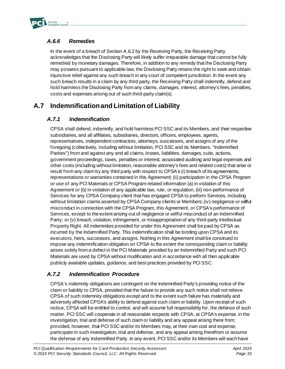

# *A.6.6 Remedies*

In the event of a breach of Section A.6.2 by the Receiving Party, the Receiving Party acknowledges that the Disclosing Party will likely suffer irreparable damage that cannot be fully remedied by monetary damages. Therefore, in addition to any remedy that the Disclosing Party may possess pursuant to applicable law, the Disclosing Party retains the right to seek and obtain injunctive relief against any such breach in any court of competent jurisdiction. In the event any such breach results in a claim by any third party, the Receiving Party shall indemnify, defend and hold harmless the Disclosing Party from any claims, damages, interest, attorney's fees, penalties, costs and expenses arising out of such third-party claim(s).

# **A.7 Indemnification and Limitation of Liability**

# *A.7.1 Indemnification*

CPSA shall defend, indemnify, and hold harmless PCI SSC and its Members, and their respective subsidiaries, and all affiliates, subsidiaries, directors, officers, employees, agents, representatives, independent contractors, attorneys, successors, and assigns of any of the foregoing (collectively, including without limitation, PCI SSC and its Members, "Indemnified Parties") from and against any and all claims, losses, liabilities, damages, suits, actions, government proceedings, taxes, penalties or interest, associated auditing and legal expenses and other costs (including without limitation, reasonable attorney's fees and related costs) that arise or result from any claim by any third party with respect to CPSA's (i) breach of its agreements, representations or warranties contained in this Agreement; (ii) participation in the CPSA Program or use of any PCI Materials or CPSA Program-related information (a) in violation of this Agreement or (b) in violation of any applicable law, rule, or regulation; (iii) non-performance of Services for any CPSA Company client that has engaged CPSA to perform Services, including without limitation claims asserted by CPSA Company clients or Members; (iv) negligence or willful misconduct in connection with the CPSA Program, this Agreement, or CPSA's performance of Services, except to the extent arising out of negligence or willful misconduct of an Indemnified Party; or (v) breach, violation, infringement, or misappropriation of any third-party Intellectual Property Right. All indemnities provided for under this Agreement shall be paid by CPSA as incurred by the Indemnified Party. This indemnification shall be binding upon CPSA and its executors, heirs, successors, and assigns. Nothing in this Agreement shall be construed to impose any indemnification obligation on CPSA to the extent the corresponding claim or liability arises solely from a defect in the PCI Materials provided by an Indemnified Party and such PCI Materials are used by CPSA without modification and in accordance with all then applicable publicly available updates, guidance, and best practices provided by PCI SSC.

# *A.7.2 Indemnification Procedure*

CPSA's indemnity obligations are contingent on the Indemnified Party's providing notice of the claim or liability to CPSA, provided that the failure to provide any such notice shall not relieve CPSA of such indemnity obligations except and to the extent such failure has materially and adversely affected CPSA's ability to defend against such claim or liability. Upon receipt of such notice, CPSA will be entitled to control, and will assume full responsibility for, the defense of such matter. PCI SSC will cooperate in all reasonable respects with CPSA, at CPSA's expense, in the investigation, trial and defense of such claim or liability and any appeal arising there from; provided, however, that PCI SSC and/or its Members may, at their own cost and expense, participate in such investigation, trial and defense, and any appeal arising therefrom or assume the defense of any Indemnified Party. In any event, PCI SSC and/or its Members will each have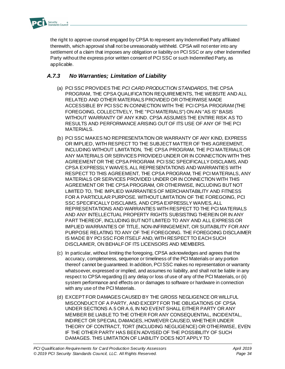

the right to approve counsel engaged by CPSA to represent any Indemnified Party affiliated therewith, which approval shall not be unreasonably withheld. CPSA will not enter into any settlement of a claim that imposes any obligation or liability on PCI SSC or any other Indemnified Party without the express prior written consent of PCI SSC or such Indemnified Party, as applicable.

# *A.7.3 No Warranties; Limitation of Liability*

- (a) PCI SSC PROVIDES THE *PCI CARD PRODUCTION STANDARDS*, THE CPSA PROGRAM, THE CPSA QUALIFICATION REQUIREMENTS, THE WEBSITE AND ALL RELATED AND OTHER MATERIALS PROVIDED OR OTHERWISE MADE ACCESSIBLE BY PCI SSC IN CONNECTION WITH THE PCI CPSA PROGRAM (THE FOREGOING, COLLECTIVELY, THE "PCI MATERIALS") ON AN "AS IS" BASIS WITHOUT WARRANTY OF ANY KIND. CPSA ASSUMES THE ENTIRE RISK AS TO RESULTS AND PERFORMANCE ARISING OUT OF ITS USE OF ANY OF THE PCI MATERIALS.
- (b) PCI SSC MAKES NO REPRESENTATION OR WARRANTY OF ANY KIND, EXPRESS OR IMPLIED, WITH RESPECT TO THE SUBJECT MATTER OF THIS AGREEMENT, INCLUDING WITHOUT LIMITATION, THE CPSA PROGRAM, THE PCI MATERIALS OR ANY MATERIALS OR SERVICES PROVIDED UNDER OR IN CONNECTION WITH THIS AGREEMENT OR THE CPSA PROGRAM. PCI SSC SPECIFICALLY DISCLAIMS, AND CPSA EXPRESSLY WAIVES, ALL REPRESENTATIONS AND WARRANTIES WITH RESPECT TO THIS AGREEMENT, THE CPSA PROGRAM, THE PCI MATERIALS, ANY MATERIALS OR SERVICES PROVIDED UNDER OR IN CONNECTION WITH THIS AGREEMENT OR THE CPSA PROGRAM, OR OTHERWISE, INCLUDING BUT NOT LIMITED TO, THE IMPLIED WARRANTIES OF MERCHANTABILITY AND FITNESS FOR A PARTICULAR PURPOSE. WITHOUT LIMITATION OF THE FOREGOING, PCI SSC SPECIFICALLY DISCLAIMS, AND CPSA EXPRESSLY WAIVES, ALL REPRESENTATIONS AND WARRANTIES WITH RESPECT TO THE PCI MATERIALS AND ANY INTELLECTUAL PROPERTY RIGHTS SUBSISTING THEREIN OR IN ANY PART THEREOF, INCLUDING BUT NOT LIMITED TO ANY AND ALL EXPRESS OR IMPLIED WARRANTIES OF TITLE, NON-INFRINGEMENT, OR SUITABILITY FOR ANY PURPOSE RELATING TO ANY OF THE FOREGOING. THE FOREGOING DISCLAIMER IS MADE BY PCI SSC FOR ITSELF AND, WITH RESPECT TO EACH SUCH DISCLAIMER, ON BEHALF OF ITS LICENSORS AND MEMBERS.
- (c) In particular, without limiting the foregoing, CPSA acknowledges and agrees that the accuracy, completeness, sequence or timeliness of the PCI Materials or any portion thereof cannot be guaranteed. In addition, PCI SSC makes no representation or warranty whatsoever, expressed or implied, and assumes no liability, and shall not be liable in any respect to CPSA regarding (i) any delay or loss of use of any of the PCI Materials, or (ii) system performance and effects on or damages to software or hardware in connection with any use of the PCI Materials.
- (d) EXCEPT FOR DAMAGES CAUSED BY THE GROSS NEGLIGENCE OR WILLFUL MISCONDUCT OF A PARTY, AND EXCEPT FOR THE OBLIGATIONS OF CPSA UNDER SECTIONS A.5 OR A.6, IN NO EVENT SHALL EITHER PARTY OR ANY MEMBER BE LIABLE TO THE OTHER FOR ANY CONSEQUENTIAL, INCIDENTAL, INDIRECT OR SPECIAL DAMAGES, HOWEVER CAUSED, WHETHER UNDER THEORY OF CONTRACT, TORT (INCLUDING NEGLIGENCE) OR OTHERWISE, EVEN IF THE OTHER PARTY HAS BEEN ADVISED OF THE POSSIBILITY OF SUCH DAMAGES. THIS LIMITATION OF LIABILITY DOES NOT APPLY TO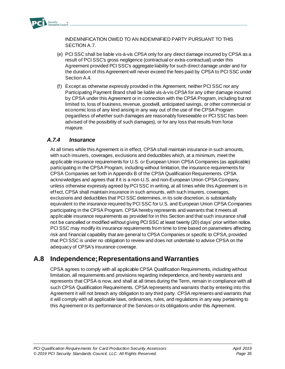

INDEMNIFICATION OWED TO AN INDEMNIFIED PARTY PURSUANT TO THIS SECTION A.7.

- (e) PCI SSC shall be liable vis-à-vis CPSA only for any direct damage incurred by CPSA as a result of PCI SSC's gross negligence (contractual or extra-contractual) under this Agreement provided PCI SSC's aggregate liability for such direct damage under and for the duration of this Agreement will never exceed the fees paid by CPSA to PCI SSC under Section A.4.
- (f) Except as otherwise expressly provided in this Agreement, neither PCI SSC nor any Participating Payment Brand shall be liable vis-à-vis CPSA for any other damage incurred by CPSA under this Agreement or in connection with the CPSA Program, including but not limited to, loss of business, revenue, goodwill, anticipated savings, or other commercial or economic loss of any kind arising in any way out of the use of the CPSA Program (regardless of whether such damages are reasonably foreseeable or PCI SSC has been advised of the possibility of such damages), or for any loss that results from force majeure.

### *A.7.4 Insurance*

At all times while this Agreement is in effect, CPSA shall maintain insurance in such amounts, with such insurers, coverages, exclusions and deductibles which, at a minimum, meet the applicable insurance requirements for U.S. or European Union CPSA Companies (as applicable) participating in the CPSA Program, including without limitation, the insurance requirements for CPSA Companies set forth in Appendix B of the CPSA Qualification Requirements. CPSA acknowledges and agrees that if it is a non-U.S. and non-European Union CPSA Company, unless otherwise expressly agreed by PCI SSC in writing, at all times while this Agreement is in effect, CPSA shall maintain insurance in such amounts, with such insurers, coverages, exclusions and deductibles that PCI SSC determines, in its sole discretion, is substantially equivalent to the insurance required by PCI SSC for U.S. and European Union CPSA Companies participating in the CPSA Program. CPSA hereby represents and warrants that it meets all applicable insurance requirements as provided for in this Section and that such insurance shall not be cancelled or modified without giving PCI SSC at least twenty (20) days' prior written notice. PCI SSC may modify its insurance requirements from time to time based on parameters affecting risk and financial capability that are general to CPSA Companies or specific to CPSA, provided that PCI SSC is under no obligation to review and does not undertake to advise CPSA on the adequacy of CPSA's insurance coverage.

# **A.8 Independence; Representations and Warranties**

CPSA agrees to comply with all applicable CPSA Qualification Requirements, including without limitation, all requirements and provisions regarding independence, and hereby warrants and represents that CPSA is now, and shall at all times during the Term, remain in compliance with all such CPSA Qualification Requirements. CPSA represents and warrants that by entering into this Agreement it will not breach any obligation to any third party. CPSA represents and warrants that it will comply with all applicable laws, ordinances, rules, and regulations in any way pertaining to this Agreement or its performance of the Services or its obligations under this Agreement.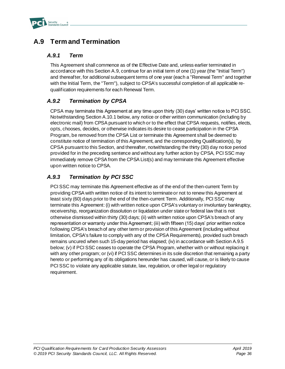

# **A.9 Term and Termination**

### *A.9.1 Term*

This Agreement shall commence as of the Effective Date and, unless earlier terminated in accordance with this Section A.9, continue for an initial term of one (1) year (the "Initial Term") and thereafter, for additional subsequent terms of one year (each a "Renewal Term" and together with the Initial Term, the "Term"), subject to CPSA's successful completion of all applicable requalification requirements for each Renewal Term.

## *A.9.2 Termination by CPSA*

CPSA may terminate this Agreement at any time upon thirty (30) days' written notice to PCI SSC. Notwithstanding Section A.10.1 below, any notice or other written communication (including by electronic mail) from CPSA pursuant to which or to the effect that CPSA requests, notifies, elects, opts, chooses, decides, or otherwise indicates its desire to cease participation in the CPSA Program, be removed from the CPSA List or terminate this Agreement shall be deemed to constitute notice of termination of this Agreement, and the corresponding Qualification(s), by CPSA pursuant to this Section, and thereafter, notwithstanding the thirty (30) day notice period provided for in the preceding sentence and without any further action by CPSA, PCI SSC may immediately remove CPSA from the CPSA List(s) and may terminate this Agreement effective upon written notice to CPSA.

## *A.9.3 Termination by PCI SSC*

PCI SSC may terminate this Agreement effective as of the end of the then-current Term by providing CPSA with written notice of its intent to terminate or not to renew this Agreement at least sixty (60) days prior to the end of the then-current Term. Additionally, PCI SSC may terminate this Agreement: (i) with written notice upon CPSA's voluntary or involuntary bankruptcy, receivership, reorganization dissolution or liquidation under state or federal law that is not otherwise dismissed within thirty (30) days; (ii) with written notice upon CPSA's breach of any representation or warranty under this Agreement; (iii) with fifteen (15) days' prior written notice following CPSA's breach of any other term or provision of this Agreement (including without limitation, CPSA's failure to comply with any of the CPSA Requirements), provided such breach remains uncured when such 15-day period has elapsed; (iv) in accordance with Section A.9.5 below; (v) if PCI SSC ceases to operate the CPSA Program, whether with or without replacing it with any other program; or (vi) if PCI SSC determines in its sole discretion that remaining a party hereto or performing any of its obligations hereunder has caused, will cause, or is likely to cause PCI SSC to violate any applicable statute, law, regulation, or other legal or regulatory requirement.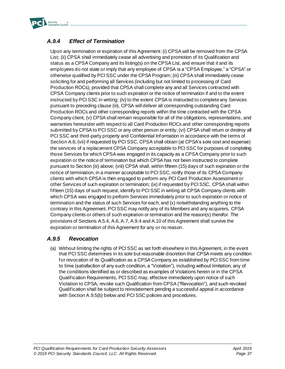

# *A.9.4 Effect of Termination*

Upon any termination or expiration of this Agreement: (i) CPSA will be removed from the CPSA List; (ii) CPSA shall immediately cease all advertising and promotion of its Qualification and status as a CPSA Company and its listing(s) on the CPSA List, and ensure that it and its employees do not state or imply that any employee of CPSA is a "CPSA Employee," a "CPSA" or otherwise qualified by PCI SSC under the CPSA Program; (iii) CPSA shall immediately cease soliciting for and performing all Services (including but not limited to processing of Card Production ROCs), provided that CPSA shall complete any and all Services contracted with CPSA Company clients prior to such expiration or the notice of termination if and to the extent instructed by PCI SSC in writing; (iv) to the extent CPSA is instructed to complete any Services pursuant to preceding clause (iii), CPSA will deliver all corresponding outstanding Card Production ROCs and other corresponding reports within the time contracted with the CPSA Company client, (v) CPSA shall remain responsible for all of the obligations, representations, and warranties hereunder with respect to all Card Production ROCs and other corresponding reports submitted by CPSA to PCI SSC or any other person or entity; (vi) CPSA shall return or destroy all PCI SSC and third-party property and Confidential Information in accordance with the terms of Section A.6; (vii) if requested by PCI SSC, CPSA shall obtain (at CPSA's sole cost and expense) the services of a replacement CPSA Company acceptable to PCI SSC for purposes of completing those Services for which CPSA was engaged in its capacity as a CPSA Company prior to such expiration or the notice of termination but which CPSA has not been instructed to complete pursuant to Section (iii) above; (viii) CPSA shall, within fifteen (15) days of such expiration or the notice of termination, in a manner acceptable to PCI SSC, notify those of its CPSA Company clients with which CPSA is then engaged to perform any PCI Card Production Assessment or other Services of such expiration or termination; (ix) if requested by PCI SSC, CPSA shall within fifteen (15) days of such request, identify to PCI SSC in writing all CPSA Company clients with which CPSA was engaged to perform Services immediately prior to such expiration or notice of termination and the status of such Services for each; and (x) notwithstanding anything to the contrary in this Agreement, PCI SSC may notify any of its Members and any acquirers, CPSA Company clients or others of such expiration or termination and the reason(s) therefor. The provisions of Sections A.5.4, A.6, A.7, A.9.4 and A.10 of this Agreement shall survive the expiration or termination of this Agreement for any or no reason.

### *A.9.5 Revocation*

(a) Without limiting the rights of PCI SSC as set forth elsewhere in this Agreement, in the event that PCI SSC determines in its sole but reasonable discretion that CPSA meets any condition for revocation of its Qualification as a CPSA Company as established by PCI SSC from time to time (satisfaction of any such condition, a "Violation"), including without limitation, any of the conditions identified as or described as examples of Violations herein or in the CPSA Qualification Requirements, PCI SSC may, effective immediately upon notice of such Violation to CPSA, revoke such Qualification from CPSA ("Revocation"), and such revoked Qualification shall be subject to reinstatement pending a successful appeal in accordance with Section A.9.5(b) below and PCI SSC policies and procedures.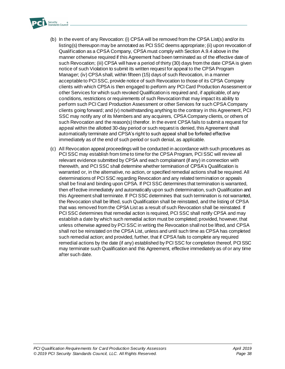

- (b) In the event of any Revocation: (i) CPSA will be removed from the CPSA List(s) and/or its listing(s) thereupon may be annotated as PCI SSC deems appropriate; (ii) upon revocation of Qualification as a CPSA Company, CPSA must comply with Section A.9.4 above in the manner otherwise required if this Agreement had been terminated as of the effective date of such Revocation; (iii) CPSA will have a period of thirty (30) days from the date CPSA is given notice of such Violation to submit its written request for appeal to the CPSA Program Manager; (iv) CPSA shall, within fifteen (15) days of such Revocation, in a manner acceptable to PCI SSC, provide notice of such Revocation to those of its CPSA Company clients with which CPSA is then engaged to perform any PCI Card Production Assessment or other Services for which such revoked Qualification is required and, if applicable, of any conditions, restrictions or requirements of such Revocation that may impact its ability to perform such PCI Card Production Assessment or other Services for such CPSA Company clients going forward; and (v) notwithstanding anything to the contrary in this Agreement, PCI SSC may notify any of its Members and any acquirers, CPSA Company clients, or others of such Revocation and the reason(s) therefor. In the event CPSA fails to submit a request for appeal within the allotted 30-day period or such request is denied, this Agreement shall automatically terminate and CPSA's right to such appeal shall be forfeited effective immediately as of the end of such period or such denial, as applicable.
- (c) All Revocation appeal proceedings will be conducted in accordance with such procedures as PCI SSC may establish from time to time for the CPSA Program, PCI SSC will review all relevant evidence submitted by CPSA and each complainant (if any) in connection with therewith, and PCI SSC shall determine whether termination of CPSA's Qualification is warranted or, in the alternative, no action, or specified remedial actions shall be required. All determinations of PCI SSC regarding Revocation and any related termination or appeals shall be final and binding upon CPSA. If PCI SSC determines that termination is warranted, then effective immediately and automatically upon such determination, such Qualification and this Agreement shall terminate. If PCI SSC determines that such termination is not warranted, the Revocation shall be lifted, such Qualification shall be reinstated, and the listing of CPSA that was removed from the CPSA List as a result of such Revocation shall be reinstated. If PCI SSC determines that remedial action is required, PCI SSC shall notify CPSA and may establish a date by which such remedial action must be completed; provided, however, that unless otherwise agreed by PCI SSC in writing the Revocation shall not be lifted, and CPSA shall not be reinstated on the CPSA List, unless and until such time as CPSA has completed such remedial action; and provided, further, that if CPSA fails to complete any required remedial actions by the date (if any) established by PCI SSC for completion thereof, PCI SSC may terminate such Qualification and this Agreement, effective immediately as of or any time after such date.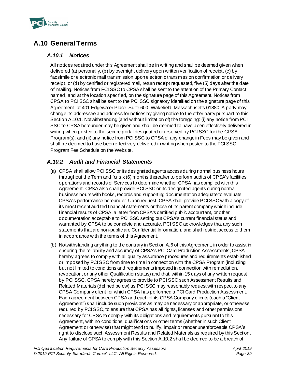

# **A.10 General Terms**

### *A.10.1 Notices*

All notices required under this Agreement shall be in writing and shall be deemed given when delivered (a) personally, (b) by overnight delivery upon written verification of receipt, (c) by facsimile or electronic mail transmission upon electronic transmission confirmation or delivery receipt, or (d) by certified or registered mail, return receipt requested, five (5) days after the date of mailing. Notices from PCI SSC to CPSA shall be sent to the attention of the Primary Contact named, and at the location specified, on the signature page of this Agreement. Notices from CPSA to PCI SSC shall be sent to the PCI SSC signatory identified on the signature page of this Agreement, at 401 Edgewater Place, Suite 600, Wakefield, Massachusetts 01880. A party may change its addressee and address for notices by giving notice to the other party pursuant to this Section A.10.1. Notwithstanding (and without limitation of) the foregoing: (i) any notice from PCI SSC to CPSA hereunder may be given and shall be deemed to have been effectively delivered in writing when posted to the secure portal designated or reserved by PCI SSC for the CPSA Program(s); and (ii) any notice from PCI SSC to CPSA of any change in Fees may be given and shall be deemed to have been effectively delivered in writing when posted to the PCI SSC Program Fee Schedule on the Website.

## *A.10.2 Audit and Financial Statements*

- (a) CPSA shall allow PCI SSC or its designated agents access during normal business hours throughout the Term and for six (6) months thereafter to perform audits of CPSA's facilities, operations and records of Services to determine whether CPSA has complied with this Agreement. CPSA also shall provide PCI SSC or its designated agents during normal business hours with books, records and supporting documentation adequate to evaluate CPSA's performance hereunder. Upon request, CPSA shall provide PCI SSC with a copy of its most recent audited financial statements or those of its parent company which include financial results of CPSA, a letter from CPSA's certified public accountant, or other documentation acceptable to PCI SSC setting out CPSA's current financial status and warranted by CPSA to be complete and accurate. PCI SSC acknowledges that any such statements that are non-public are Confidential Information, and shall restrict access to them in accordance with the terms of this Agreement.
- (b) Notwithstanding anything to the contrary in Section A.6 of this Agreement, in order to assist in ensuring the reliability and accuracy of CPSA's PCI Card Production Assessments, CPSA hereby agrees to comply with all quality assurance procedures and requirements established or imposed by PCI SSC from time to time in connection with the CPSA Program (including but not limited to conditions and requirements imposed in connection with remediation, revocation, or any other Qualification status) and that, within 15 days of any written request by PCI SSC, CPSA hereby agrees to provide to PCI SSC such Assessment Results and Related Materials (defined below) as PCI SSC may reasonably request with respect to any CPSA Company client for which CPSA has performed a PCI Card Production Assessment. Each agreement between CPSA and each of its CPSA Company clients (each a "Client Agreement") shall include such provisions as may be necessary or appropriate, or otherwise required by PCI SSC, to ensure that CPSA has all rights, licenses and other permissions necessary for CPSA to comply with its obligations and requirements pursuant to this Agreement, with no conditions, qualifications or other terms (whether in such Client Agreement or otherwise) that might tend to nullify, impair or render unenforceable CPSA's right to disclose such Assessment Results and Related Materials as required by this Section. Any failure of CPSA to comply with this Section A.10.2 shall be deemed to be a breach of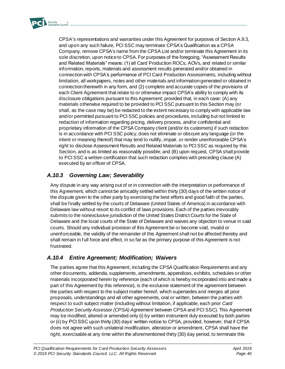

CPSA's representations and warranties under this Agreement for purposes of Section A.9.3, and upon any such failure, PCI SSC may terminate CPSA's Qualification as a CPSA Company, remove CPSA's name from the CPSA List and/or terminate this Agreement in its sole discretion, upon notice to CPSA. For purposes of the foregoing, "Assessment Results and Related Materials" means: (1) all Card Production ROCs, AOVs, and related or similar information, reports, materials and assessment results generated and/or obtained in connection with CPSA's performance of PCI Card Production Assessments, including without limitation, all workpapers, notes and other materials and information generated or obtained in connection therewith in any form, and (2) complete and accurate copies of the provisions of each Client Agreement that relate to or otherwise impact CPSA's ability to comply with its disclosure obligations pursuant to this Agreement; provided that, in each case: (A) any materials otherwise required to be provided to PCI SSC pursuant to this Section may (or shall, as the case may be) be redacted to the extent necessary to comply with applicable law and/or permitted pursuant to PCI SSC policies and procedures, including but not limited to redaction of information regarding pricing, delivery process, and/or confidential and proprietary information of the CPSA Company client (and/or its customers) if such redaction is in accordance with PCI SSC policy, does not eliminate or obscure any language (or the intent or meaning thereof) that may tend to nullify, impair, or render unenforceable CPSA's right to disclose Assessment Results and Related Materials to PCI SSC as required by this Section, and is as limited as reasonably possible; and (B) upon request, CPSA shall provide to PCI SSC a written certification that such redaction complies with preceding clause (A) executed by an officer of CPSA.

## *A.10.3 Governing Law; Severability*

Any dispute in any way arising out of or in connection with the interpretation or performance of this Agreement, which cannot be amicably settled within thirty (30) days of the written notice of the dispute given to the other party by exercising the best efforts and good faith of the parties, shall be finally settled by the courts of Delaware (United States of America) in accordance with Delaware law without resort to its conflict of laws provisions. Each of the parties irrevocably submits to the nonexclusive jurisdiction of the United States District Courts for the State of Delaware and the local courts of the State of Delaware and waives any objection to venue in said courts. Should any individual provision of this Agreement be or become void, invalid or unenforceable, the validity of the remainder of this Agreement shall not be affected thereby and shall remain in full force and effect, in so far as the primary purpose of this Agreement is not frustrated.

## *A.10.4 Entire Agreement; Modification; Waivers*

The parties agree that this Agreement, including the CPSA Qualification Requirements and any other documents, addenda, supplements, amendments, appendices, exhibits, schedules or other materials incorporated herein by reference (each of which is hereby incorporated into and made a part of this Agreement by this reference), is the exclusive statement of the agreement between the parties with respect to the subject matter hereof, which supersedes and merges all prior proposals, understandings and all other agreements, oral or written, between the parties with respect to such subject matter (including without limitation, if applicable, each prior *Card Production Security Assessor (CPSA) Agreement* between CPSA and PCI SSC). This Agreement may be modified, altered or amended only (i) by written instrument duly executed by both parties or (ii) by PCI SSC upon thirty (30) days' written notice to CPSA, provided, however, that if CPSA does not agree with such unilateral modification, alteration or amendment, CPSA shall have the right, exercisable at any time within the aforementioned thirty (30) day period, to terminate this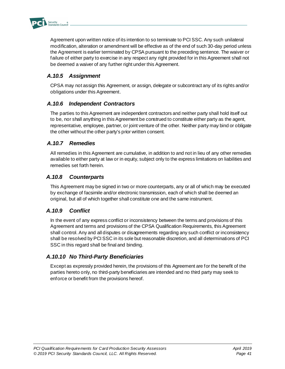

Agreement upon written notice of its intention to so terminate to PCI SSC. Any such unilateral modification, alteration or amendment will be effective as of the end of such 30-day period unless the Agreement is earlier terminated by CPSA pursuant to the preceding sentence. The waiver or failure of either party to exercise in any respect any right provided for in this Agreement shall not be deemed a waiver of any further right under this Agreement.

## *A.10.5 Assignment*

CPSA may not assign this Agreement, or assign, delegate or subcontract any of its rights and/or obligations under this Agreement.

### *A.10.6 Independent Contractors*

The parties to this Agreement are independent contractors and neither party shall hold itself out to be, nor shall anything in this Agreement be construed to constitute either party as the agent, representative, employee, partner, or joint venture of the other. Neither party may bind or obligate the other without the other party's prior written consent.

### *A.10.7 Remedies*

All remedies in this Agreement are cumulative, in addition to and not in lieu of any other remedies available to either party at law or in equity, subject only to the express limitations on liabilities and remedies set forth herein.

### *A.10.8 Counterparts*

This Agreement may be signed in two or more counterparts, any or all of which may be executed by exchange of facsimile and/or electronic transmission, each of which shall be deemed an original, but all of which together shall constitute one and the same instrument.

### *A.10.9 Conflict*

In the event of any express conflict or inconsistency between the terms and provisions of this Agreement and terms and provisions of the CPSA Qualification Requirements, this Agreement shall control. Any and all disputes or disagreements regarding any such conflict or inconsistency shall be resolved by PCI SSC in its sole but reasonable discretion, and all determinations of PCI SSC in this regard shall be final and binding.

### *A.10.10 No Third-Party Beneficiaries*

Except as expressly provided herein, the provisions of this Agreement are for the benefit of the parties hereto only, no third-party beneficiaries are intended and no third party may seek to enforce or benefit from the provisions hereof.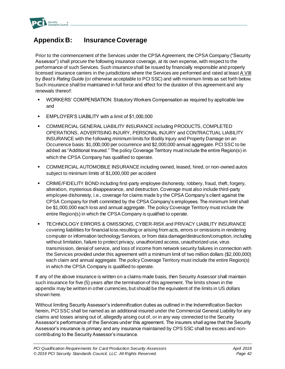

# <span id="page-44-0"></span>**Appendix B: Insurance Coverage**

Prior to the commencement of the Services under the CPSA Agreement, the CPSA Company ("Security Assessor") shall procure the following insurance coverage, at its own expense, with respect to the performance of such Services. Such insurance shall be issued by financially responsible and properly licensed insurance carriers in the jurisdictions where the Services are performed and rated at least A VIII by *Best's Rating Guide* (or otherwise acceptable to PCI SSC) and with minimum limits as set forth below. Such insurance shall be maintained in full force and effect for the duration of this agreement and any renewals thereof:

- WORKERS' COMPENSATION: Statutory Workers Compensation as required by applicable law and
- EMPLOYER'S LIABILITY with a limit of \$1,000,000
- COMMERCIAL GENERAL LIABILITY INSURANCE including PRODUCTS, COMPLETED OPERATIONS, ADVERTISING INJURY, PERSONAL INJURY and CONTRACTUAL LIABILITY INSURANCE with the following minimum limits for Bodily Injury and Property Damage on an Occurrence basis: \$1,000,000 per occurrence and \$2,000,000 annual aggregate. PCI SSC to be added as "Additional Insured." The policy Coverage Territory must include the entire Region(s) in which the CPSA Company has qualified to operate.
- COMMERCIAL AUTOMOBILE INSURANCE including owned, leased, hired, or non-owned autos subject to minimum limits of \$1,000,000 per accident
- CRIME/FIDELITY BOND including first-party employee dishonesty, robbery, fraud, theft, forgery, alteration, mysterious disappearance, and destruction. Coverage must also include third-party employee dishonesty, i.e., coverage for claims made by the CPSA Company's client against the CPSA Company for theft committed by the CPSA Company's employees. The minimum limit shall be \$1,000,000 each loss and annual aggregate. The policy Coverage Territory must include the entire Region(s) in which the CPSA Company is qualified to operate.
- TECHNOLOGY ERRORS & OMISSIONS, CYBER-RISK and PRIVACY LIABILITY INSURANCE covering liabilities for financial loss resulting or arising from acts, errors or omissions in rendering computer or information technology Services, or from data damage/destruction/corruption, including without limitation, failure to protect privacy, unauthorized access, unauthorized use, virus transmission, denial of service, and loss of income from network security failures in connection with the Services provided under this agreement with a minimum limit of two million dollars (\$2,000,000) each claim and annual aggregate. The policy Coverage Territory must include the entire Region(s) in which the CPSA Company is qualified to operate.

If any of the above insurance is written on a claims-made basis, then Security Assessor shall maintain such insurance for five (5) years after the termination of this agreement. The limits shown in the appendix may be written in other currencies, but should be the equivalent of the limits in US dollars shown here.

Without limiting Security Assessor's indemnification duties as outlined in the Indemnification Section herein, PCI SSC shall be named as an additional insured under the Commercial General Liability for any claims and losses arising out of, allegedly arising out of, or in any way connected to the Security Assessor's performance of the Services under this agreement. The insurers shall agree that the Security Assessor's insurance is primary and any insurance maintained by CPS SSC shall be excess and noncontributing to the Security Assessor's insurance.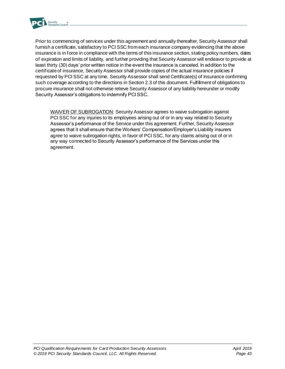

Prior to commencing of services under this agreement and annually thereafter, Security Assessor shall furnish a certificate, satisfactory to PCI SSC from each insurance company evidencing that the above insurance is in force in compliance with the terms of this insurance section, stating policy numbers, dates of expiration and limits of liability, and further providing that Security Assessor will endeavor to provide at least thirty (30) days' prior written notice in the event the insurance is canceled. In addition to the certificate of insurance, Security Assessor shall provide copies of the actual insurance policies if requested by PCI SSC at any time. Security Assessor shall send Certificate(s) of Insurance confirming such coverage according to the directions in Section 2.3 of this document. Fulfillment of obligations to procure insurance shall not otherwise relieve Security Assessor of any liability hereunder or modify Security Assessor's obligations to indemnify PCI SSC.

WAIVER OF SUBROGATION: Security Assessor agrees to waive subrogation against PCI SSC for any injuries to its employees arising out of or in any way related to Security Assessor's performance of the Service under this agreement. Further, Security Assessor agrees that it shall ensure that the Workers' Compensation/Employer's Liability insurers agree to waive subrogation rights, in favor of PCI SSC, for any claims arising out of or in any way connected to Security Assessor's performance of the Services under this agreement.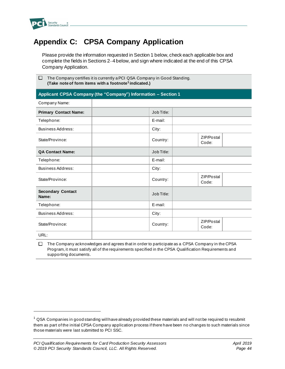

# <span id="page-46-0"></span>**Appendix C: CPSA Company Application**

Please provide the information requested in Section 1 below, check each applicable box and complete the fields in Sections 2–4 below, and sign where indicated at the end of this CPSA Company Application.

| $\Box$ The Company certifies it is currently a PCI QSA Company in Good Standing. |
|----------------------------------------------------------------------------------|
| (Take note of form items with a footnote <sup>1</sup> indicated.)                |

#### **Applicant CPSA Company (the "Company") Information – Section 1**

| Company Name:                     |            |                     |
|-----------------------------------|------------|---------------------|
| <b>Primary Contact Name:</b>      | Job Title: |                     |
| Telephone:                        | E-mail:    |                     |
| Business Address:                 | City:      |                     |
| State/Province:                   | Country:   | ZIP/Postal<br>Code: |
| <b>QA Contact Name:</b>           | Job Title: |                     |
| Telephone:                        | E-mail:    |                     |
| <b>Business Address:</b>          | City:      |                     |
| State/Province:                   | Country:   | ZIP/Postal<br>Code: |
| <b>Secondary Contact</b><br>Name: | Job Title: |                     |
| Telephone:                        | E-mail:    |                     |
| Business Address:                 | City:      |                     |
| State/Province:                   | Country:   | ZIP/Postal<br>Code: |
| URL:                              |            |                     |

 $\Box$  The Company acknowledges and agrees that in order to participate as a CPSA Company in the CPSA Program, it must satisfy all of the requirements specified in the CPSA Qualification Requirements and supporting documents.

 $1$  QSA Companies in good standing will have already provided these materials and will not be required to resubmit them as part of the initial CPSA Company application process if there have been no changes to such materials since those materials were last submitted to PCI SSC.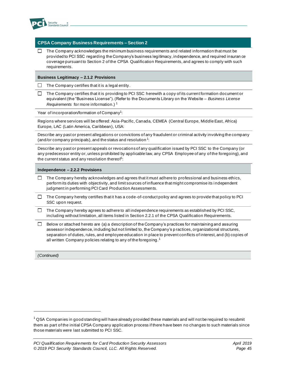

#### **CPSA Company Business Requirements – Section 2**

 $\Box$  The Company acknowledges the minimum business requirements and related information that must be provided to PCI SSC regarding the Company's business legitimacy, independence, and required insuran ce coverage pursuant to Section 2 of the CPSA Qualification Requirements, and agrees to comply with such requirements.

#### **Business Legitimacy – 2.1.2 Provisions**

 $\Box$  The Company certifies that it is a legal entity.

 $\Box$ The Company certifies that it is providing to PCI SSC herewith a copy of its current formation document or equivalent (the "Business License"). (Refer to the Documents Library on the Website – *Business License Requirements* for more information.) <sup>1</sup>

Year of incorporation/formation of Company<sup>1</sup>:

Regions where services will be offered: Asia-Pacific, Canada, CEMEA (Central Europe, Middle East, Africa) Europe, LAC (Latin America, Caribbean), USA:

Describe any past or present allegations or convictions of any fraudulent or criminal activity involving the company (and/or company principals), and the status and resolution<sup>1</sup>:

Describe any past or present appeals or revocations of any qualification issued by PCI SSC to the Company (or any predecessor entity or, unless prohibited by applicable law, any CPSA Employee of any of the foregoing), and the current status and any resolution thereof<sup>1</sup>:

#### **Independence – 2.2.2 Provisions**

- $\Box$ The Company hereby acknowledges and agrees that it must adhere to professional and business ethics, perform its duties with objectivity, and limit sources of influence that might compromise its i ndependent judgment in performing PCI Card Production Assessments.
- $\Box$  The Company hereby certifies that it has a code-of-conduct policy and agrees to provide that policy to PCI SSC upon request.
- The Company hereby agrees to adhere to all independence requirements as established by PCI SSC,  $\Box$ including without limitation, all items listed in Section 2.2.1 of the CPSA Qualification Requirements*.*
- $\Box$  Below or attached hereto are (a) a description of the Company's practices for maintaining and assuring assessor independence, including but not limited to, the Company's p ractices, organizational structures, separation of duties, rules, and employee education in place to prevent conflicts of interest, and (b) copies of all written Company policies relating to any of the foregoing.<sup>1</sup>

*(Continued)*

 $1$  QSA Companies in good standing will have already provided these materials and will not be required to resubmit them as part of the initial CPSA Company application process if there have been no changes to such materials since those materials were last submitted to PCI SSC.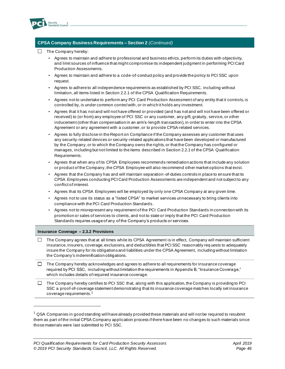

#### **CPSA Company Business Requirements – Section 2** *(Continued)*

- $\Box$  The Company hereby:
	- Agrees to maintain and adhere to professional and business ethics, perform its duties with objectivity, and limit sources of influence that might compromise its independent judgment in performing PCI Card Production Assessments.
	- Agrees to maintain and adhere to a code-of-conduct policy and provide the policy to PCI SSC upon request.
	- Agrees to adhere to all independence requirements as established by PCI SSC, including without limitation, all items listed in Section 2.2.1 of the CPSA Qualification Requirements.
	- Agrees not to undertake to perform any PCI Card Production Assessment of any entity that it controls, is controlled by, is under common control with, or in which it holds any investment.
	- Agrees that it has not and will not have offered or provided (and has not and will not have been offered or received) to (or from) any employee of PCI SSC or any customer, any gift, gratuity, service, or other inducement (other than compensation in an arm's-length transaction), in order to enter into the CPSA Agreement or any agreement with a customer, or to provide CPSA-related services.
	- Agrees to fully disclose in the Report on Compliance if the Company assesses any customer that uses any security-related devices or security-related applications that have been developed or manufactured by the Company, or to which the Company owns the rights, or that the Company has configured or manages, including but not limited to the items described in Section 2.2.1 of the CPSA Qualification Requirements*.*
	- Agrees that when any of its CPSA Employees recommends remediation actions that include any solution or product of the Company, the CPSA Employee will also recommend other market options that exist.
	- Agrees that the Company has and will maintain separation -of-duties controls in place to ensure that its CPSA Employees conducting PCI Card Production Assessments are independent and not subject to any conflict of interest.
	- Agrees that its CPSA Employees will be employed by only one CPSA Company at any given time.
	- Agrees not to use its status as a "listed CPSA" to market services unnecessary to bring clients into compliance with the PCI Card Production Standards.
	- Agrees not to misrepresent any requirement of the PCI Card Production Standards in connection with its promotion or sales of services to clients, and not to state or imply that the PCI Card Production Standards requires usage of any of the Company's products or services.

#### **Insurance Coverage – 2.3.2 Provisions**

- The Company agrees that at all times while its CPSA Agreement is in effect, Company will maintain sufficient  $\Box$ insurance, insurers, coverage, exclusions, and deductibles that PCI SSC reasonably req uests to adequately insure the Company for its obligations and liabilities under the CPSA Agreement, including without limitation the Company's indemnification obligations.
- $\Box$  The Company hereby acknowledges and agrees to adhere to all requirements for insurance coverage required by PCI SSC, including without limitation the requirements in Appendix B, "Insurance Coverage," which includes details of required insurance coverage.
- $\Box$  The Company hereby certifies to PCI SSC that, along with this application, the Company is providing to PCI SSC a proof-of-coverage statement demonstrating that its insurance coverage matches locally set insurance coverage requirements.<sup>1</sup>

 $^1$  QSA Companies in good standing will have already provided these materials and will not be required to resubmit them as part of the initial CPSA Company application process if there have been no changes to such materials since those materials were last submitted to PCI SSC.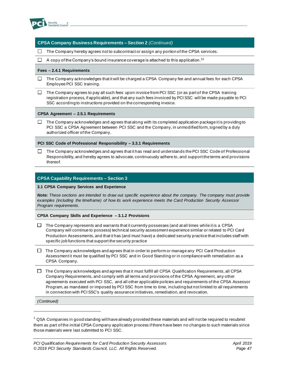

#### **CPSA Company Business Requirements – Section 2** *(Continued)*

 $\Box$  The Company hereby agrees not to subcontract or assign any portion of the CPSA services.

A copy of the Company's bound insurance coverage is attached to this application.  $^{\mathsf{11}}$  $\Box$ 

#### **Fees – 2.4.1 Requirements**

- $\Box$  The Company acknowledges that it will be charged a CPSA Company fee and annual fees for each CPSA Employee PCI SSC training.
- $\Box$ The Company agrees to pay all such fees upon invoice from PCI SSC (or as part of the CPSA training registration process, if applicable), and that any such fees invoiced by PCI SSC will be made payable to PCI SSC according to instructions provided on the corresponding invoice.

#### **CPSA Agreement – 2.5.1 Requirements**

The Company acknowledges and agrees that along with its completed application package it is providing to PCI SSC a CPSA Agreement between PCI SSC and the Company, in unmodified form, signed by a duly authorized officer of the Company.

**PCI SSC Code of Professional Responsibility – 3.3.1 Requirements**

 $\Box$ The Company acknowledges and agrees that it has read and understands the PCI SSC Code of Professional Responsibility, and hereby agrees to advocate, continuously adhere to, and support the terms and provisions thereof.

#### **CPSA Capability Requirements – Section 3**

#### **3.1 CPSA Company Services and Experience**

*Note: These sections are intended to draw out specific experience about the company. The company must provide examples (including the timeframe) of how its work experience meets the Card Production Security Assessor Program requirements.*

#### **CPSA Company Skills and Experience – 3.1.2 Provisions**

- $\Box$ The Company represents and warrants that it currently possesses (and at all times while it is a CPSA Company will continue to possess) technical security assessment experience similar or related to PCI Card Production Assessments, and that it has (and must have) a dedicated security practice that includes staff with specific job functions that support the security practice
- $\Box$  The Company acknowledges and agrees that in order to perform or manage any PCI Card Production Assessment it must be qualified by PCI SSC and in Good Standing or in compliance with remediation as a CPSA Company.
- $\Box$  The Company acknowledges and agrees that it must fulfill all CPSA Qualification Requirements, all CPSA Company Requirements, and comply with all terms and provisions of the CPSA Agreement, any other agreements executed with PCI SSC, and all other applicable policies and requirements of the CPSA Assessor Program, as mandated or imposed by PCI SSC from time to time, including but not limited to all requirements in connection with PCI SSC's quality assurance initiatives, remediation, and revocation.

*(Continued)*

 $1$  QSA Companies in good standing will have already provided these materials and will not be required to resubmit them as part of the initial CPSA Company application process if there have been no changes to such materials since those materials were last submitted to PCI SSC.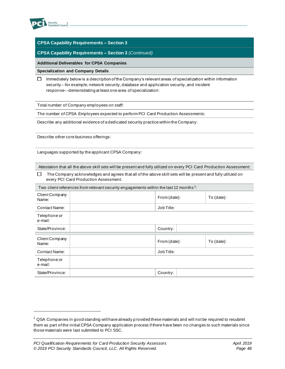

#### **CPSA Capability Requirements – Section 3**

#### **CPSA Capability Requirements – Section 3** *(Continued)*

#### **Additional Deliverables for CPSA Companies**

**Specialization and Company Details**

 $\Box$  Immediately below is a description of the Company's relevant areas of specialization within information security—for example, network security, database and application security, and incident response-demonstrating at least one area of specialization:

Total number of Company employees on staff:

The number of CPSA Employees expected to perform PCI Card Production Assessments:

Describe any additional evidence of a dedicated security practice within the Company:

Describe other core business offerings:

Languages supported by the applicant CPSA Company:

Attestation that all the above skill sets will be present and fully utilized on every PCI Card Production Assessment:

| The Company acknowledges and agrees that all of the above skill sets will be present and fully utilized on |
|------------------------------------------------------------------------------------------------------------|
| every PCI Card Production Assessment.                                                                      |

| Two client references from relevant security engagements within the last 12 months <sup>1</sup> : |  |                            |  |  |  |
|---------------------------------------------------------------------------------------------------|--|----------------------------|--|--|--|
| Client Company<br>Name:                                                                           |  | From (date):<br>To (date): |  |  |  |
| Contact Name:                                                                                     |  | Job Title:                 |  |  |  |
| Telephone or<br>e-mail:                                                                           |  |                            |  |  |  |
| State/Province:                                                                                   |  | Country:                   |  |  |  |
|                                                                                                   |  |                            |  |  |  |
| Client Company<br>Name:                                                                           |  | From (date):<br>To (date): |  |  |  |
| <b>Contact Name:</b>                                                                              |  | Job Title:                 |  |  |  |
| Telephone or<br>e-mail:                                                                           |  |                            |  |  |  |
| State/Province:                                                                                   |  | Country:                   |  |  |  |

 $1$  QSA Companies in good standing will have already provided these materials and will not be required to resubmit them as part of the initial CPSA Company application process if there have been no changes to such materials since those materials were last submitted to PCI SSC.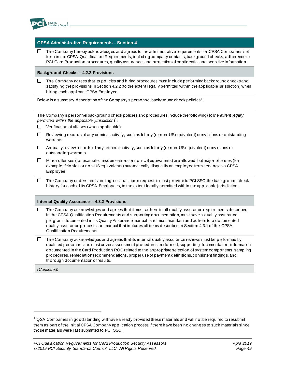

#### **CPSA Administrative Requirements – Section 4**

 $\Box$  The Company hereby acknowledges and agrees to the administrative requirements for CPSA Companies set forth in the CPSA Qualification Requirements, including company contacts, background checks, adherence to PCI Card Production procedures, quality assurance, and protection of confidential and sensitive information.

#### **Background Checks – 4.2.2 Provisions**

 $\Box$  The Company agrees that its policies and hiring procedures must include performing background checks and satisfying the provisions in Section 4.2.2 (to the extent legally permitted within the app licable jurisdiction) when hiring each applicant CPSA Employee.

Below is a summary description of the Company's personnel background check policies  $^1\!\!$  :

The Company's personnel background check policies and procedures include the following (*to the extent legally permitted within the applicable jurisdiction*) 1 :

- $\Box$  Verification of aliases (when applicable)
- $\Box$  Reviewing records of any criminal activity, such as felony (or non-US equivalent) convictions or outstanding warrants
- $\Box$  Annually review records of any criminal activity, such as felony (or non-US equivalent) convictions or outstanding warrants
- Minor offenses (for example, misdemeanors or non-US equivalents) are allowed, but major offenses (for  $\Box$ example, felonies or non-US equivalents) automatically disqualify an employee from serving as a CPSA Employee
- $\Box$  The Company understands and agrees that, upon request, it must provide to PCI SSC the background check history for each of its CPSA Employees, to the extent legally permitted within the applicable jurisdiction.

#### **Internal Quality Assurance – 4.3.2 Provisions**

- The Company acknowledges and agrees that it must adhere to all quality assurance requirements described  $\Box$ in the CPSA Qualification Requirements and supporting documentation, must have a quality assurance program, documented in its Quality Assurance manual, and must maintain and adhere to a documented quality assurance process and manual that includes all items described in Section 4.3.1 of the CPSA Qualification Requirements.
- $\Box$  The Company acknowledges and agrees that its internal quality assurance reviews must be performed by qualified personnel and must cover assessment procedures performed, supporting documentation, information documented in the Card Production ROC related to the appropriate selection of system components, sampling procedures, remediation recommendations, proper use of payment definitions, consistent findings, and thorough documentation of results.

*(Continued)*

 $^1$  QSA Companies in good standing will have already provided these materials and will not be required to resubmit them as part of the initial CPSA Company application process if there have been no changes to such materials since those materials were last submitted to PCI SSC.

*PCI Qualification Requirements for Card Production Security Assessors April 2019 © 2019 PCI Security Standards Council, LLC. All Rights Reserved. Page 49*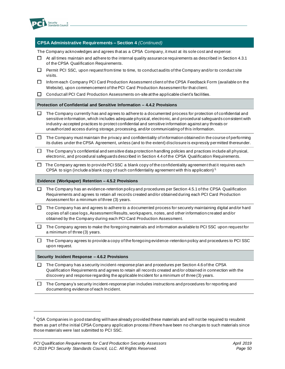

#### **CPSA Administrative Requirements – Section 4** *(Continued)*

The Company acknowledges and agrees that as a CPSA Company, it must at its sole cost and expense:

- $\Box$  At all times maintain and adhere to the internal quality assurance requirements as described in Section 4.3.1 of the CPSA Qualification Requirements.
- $\Box$  Permit PCI SSC, upon request from time to time, to conduct audits of the Company and/or to conduct site visits.
- □ Inform each Company PCI Card Production Assessment client of the CPSA Feedback Form (available on the Website), upon commencement of the PCI Card Production Assessment for that client.
- $\Box$ Conduct all PCI Card Production Assessments on-site at the applicable client's facilities.

**Protection of Confidential and Sensitive Information – 4.4.2 Provisions**

- $\Box$  The Company currently has and agrees to adhere to a documented process for protection of confidential and sensitive information, which includes adequate physical, electronic, an d procedural safeguards consistent with industry-accepted practices to protect confidential and sensitive information against any threats or unauthorized access during storage, processing, and/or communicating of this information.
- $\Box$  The Company must maintain the privacy and confidentiality of information obtained in the course of performing its duties under the CPSA Agreement, unless (and to the extent) disclosure is expressly permitted thereunder.
- $\Box$ The Company's confidential and sensitive data protection handling policies and practices include all physical, electronic, and procedural safeguards described in Section 4.4 of the CPSA Qualification Requirements.
- $\Box$  The Company agrees to provide PCI SSC a blank copy of the confidentiality agreement that it requires each CPSA to sign (include a blank copy of such confidentiality agreement with this application)<sup>1.</sup>

#### **Evidence (Workpaper) Retention – 4.5.2 Provisions**

- $\Box$  The Company has an evidence-retention policy and procedures per Section 4.5.1 of the CPSA Qualification Requirements and agrees to retain all records created and/or obtained during each PCI Card Production Assessment for a minimum of three (3) years.
- $\Box$  The Company has and agrees to adhere to a documented process for securely maintaining digital and/or hard copies of all case logs, Assessment Results, workpapers, notes, and other information created and/or obtained by the Company during each PCI Card Production Assessment.
- $\Box$  The Company agrees to make the foregoing materials and information available to PCI SSC upon request for a minimum of three (3) years.
- The Company agrees to provide a copy of the foregoing evidence-retention policy and procedures to PCI SSC  $\Box$ upon request.

#### **Security Incident Response – 4.6.2 Provisions**

 $\Box$ The Company has a security incident-response plan and procedures per Section 4.6 of the CPSA Qualification Requirements and agrees to retain all records created and/or obtained in connection with the discovery and response regarding the applicable Incident for a minimum of three (3) years.

 $\Box$ The Company's security incident-response plan includes instructions and procedures for reporting and documenting evidence of each Incident.

 $1$  QSA Companies in good standing will have already provided these materials and will not be required to resubmit them as part of the initial CPSA Company application process if there have been no changes to such materials since those materials were last submitted to PCI SSC.

*PCI Qualification Requirements for Card Production Security Assessors April 2019 © 2019 PCI Security Standards Council, LLC. All Rights Reserved. Page 50*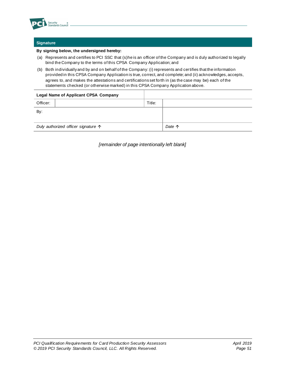

#### **Signature**

#### **By signing below, the undersigned hereby:**

- (a) Represents and certifies to PCI SSC that (s)he is an officer of the Company and is duly authorized to legally bind the Company to the terms of this CPSA Company Application; and
- (b) Both individually and by and on behalf of the Company: (i) represents and certifies that the information provided in this CPSA Company Application is true, correct, and complete; and (ii) acknowledges, accepts, agrees to, and makes the attestations and certifications set forth in (as the case may be) each of the statements checked (or otherwise marked) in this CPSA Company Application above.

| <b>Legal Name of Applicant CPSA Company</b>  |  |                 |
|----------------------------------------------|--|-----------------|
| Title:<br>Officer:                           |  |                 |
| By:                                          |  |                 |
|                                              |  |                 |
| Duly authorized officer signature $\uparrow$ |  | Date $\uparrow$ |

*[remainder of page intentionally left blank]*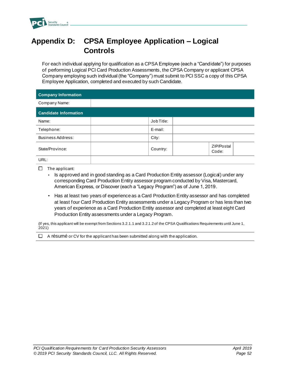

# <span id="page-54-0"></span>**Appendix D: CPSA Employee Application – Logical Controls**

For each individual applying for qualification as a CPSA Employee (each a "Candidate") for purposes of performing Logical PCI Card Production Assessments, the CPSA Company or applicant CPSA Company employing such individual (the "Company") must submit to PCI SSC a copy of this CPSA Employee Application, completed and executed by such Candidate.

| <b>Company Information</b>   |            |                     |
|------------------------------|------------|---------------------|
| Company Name:                |            |                     |
| <b>Candidate Information</b> |            |                     |
| Name:                        | Job Title: |                     |
| Telephone:                   | E-mail:    |                     |
| <b>Business Address:</b>     | City:      |                     |
| State/Province:              | Country:   | ZIP/Postal<br>Code: |
| URL:                         |            |                     |

- $\Box$  The applicant:
	- Is approved and in good standing as a Card Production Entity assessor (Logical) under any corresponding Card Production Entity assessor program conducted by Visa, Mastercard, American Express, or Discover (each a "Legacy Program") as of June 1, 2019.
	- Has at least two years of experience as a Card Production Entity assessor and has completed at least four Card Production Entity assessments under a Legacy Program or has less than two years of experience as a Card Production Entity assessor and completed at least eight Card Production Entity assessments under a Legacy Program.
- (If yes, this applicant will be exempt from Sections 3.2.1.1 and 3.2.1.2 of the CPSA Qualifications Requirements until June 1,  $2021$ )
- $\Box$  A résumé or CV for the applicant has been submitted along with the application.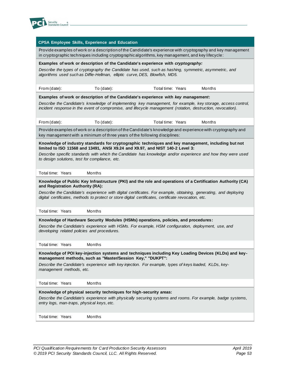

| <b>CPSA Employee Skills, Experience and Education</b>                                                                                                                                                                                                                                                                                                                      |  |  |  |  |
|----------------------------------------------------------------------------------------------------------------------------------------------------------------------------------------------------------------------------------------------------------------------------------------------------------------------------------------------------------------------------|--|--|--|--|
| Provide examples of work or a description of the Candidate's experience with cryptography and key management<br>in cryptographic techniques including cryptographic algorithms, key management, and key lifecycle:                                                                                                                                                         |  |  |  |  |
| Examples of work or description of the Candidate's experience with cryptography:                                                                                                                                                                                                                                                                                           |  |  |  |  |
| Describe the types of cryptography the Candidate has used, such as hashing, symmetric, asymmetric, and<br>algorithms used such as Diffie-Hellman, elliptic curve, DES, Blowfish, MD5.                                                                                                                                                                                      |  |  |  |  |
| From (date):<br>To (date):<br>Total time: Years<br>Months                                                                                                                                                                                                                                                                                                                  |  |  |  |  |
| Examples of work or description of the Candidate's experience with key management:<br>Describe the Candidate's knowledge of implementing key management, for example, key storage, access control,<br>incident response in the event of compromise, and lifecycle management (rotation, destruction, revocation).                                                          |  |  |  |  |
| From (date):<br>To (date):<br>Total time: Years<br>Months                                                                                                                                                                                                                                                                                                                  |  |  |  |  |
| Provide examples of work or a description of the Candidate's knowledge and experience with cryptography and<br>key management with a minimum of three years of the following disciplines:                                                                                                                                                                                  |  |  |  |  |
| Knowledge of industry standards for cryptographic techniques and key management, including but not<br>limited to ISO 11568 and 13491, ANSI X9.24 and X9.97, and NIST 140-2 Level 3:                                                                                                                                                                                        |  |  |  |  |
| Describe specific standards with which the Candidate has knowledge and/or experience and how they were used<br>to design solutions, test for compliance, etc.                                                                                                                                                                                                              |  |  |  |  |
| Total time: Years<br>Months                                                                                                                                                                                                                                                                                                                                                |  |  |  |  |
| Knowledge of Public Key Infrastructure (PKI) and the role and operations of a Certification Authority (CA)<br>and Registration Authority (RA):<br>Describe the Candidate's experience with digital certificates. For example, obtaining, generating, and deploying<br>digital certificates, methods to protect or store digital certificates, certificate revocation, etc. |  |  |  |  |
| Total time: Years<br>Months                                                                                                                                                                                                                                                                                                                                                |  |  |  |  |
| Knowledge of Hardware Security Modules (HSMs) operations, policies, and procedures:                                                                                                                                                                                                                                                                                        |  |  |  |  |
| Describe the Candidate's experience with HSMs. For example, HSM configuration, deployment, use, and<br>developing related policies and procedures.                                                                                                                                                                                                                         |  |  |  |  |
| Total time: Years<br>Months                                                                                                                                                                                                                                                                                                                                                |  |  |  |  |
| Knowledge of POI key-injection systems and techniques including Key Loading Devices (KLDs) and key-<br>management methods, such as "Master/Session Key," "DUKPT":<br>Describe the Candidate's experience with key injection. For example, types of keys loaded, KLDs, key-<br>management methods, etc.                                                                     |  |  |  |  |
| Total time: Years<br>Months                                                                                                                                                                                                                                                                                                                                                |  |  |  |  |
| Knowledge of physical security techniques for high-security areas:<br>Describe the Candidate's experience with physically securing systems and rooms. For example, badge systems,<br>entry logs, man-traps, physical keys, etc.                                                                                                                                            |  |  |  |  |
| Total time: Years<br>Months                                                                                                                                                                                                                                                                                                                                                |  |  |  |  |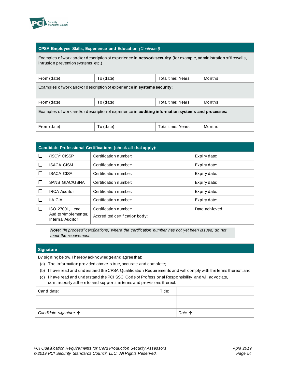

#### **CPSA Employee Skills, Experience and Education** *(Continued)*

Examples of work and/or description of experience in **network security** (for example, administration of firewalls, intrusion prevention systems, etc.):

| From (date):                                                                                     | To $(data)$ : | Total time: Years | Months |
|--------------------------------------------------------------------------------------------------|---------------|-------------------|--------|
| Examples of work and/or description of experience in <b>systems security:</b>                    |               |                   |        |
|                                                                                                  |               |                   |        |
| From (date):                                                                                     | To $(data)$ : | Total time: Years | Months |
| Examples of work and/or description of experience in auditing information systems and processes: |               |                   |        |
| From (date):                                                                                     | To (date):    | Total time: Years | Months |

| <b>Candidate Professional Certifications (check all that apply):</b> |                                                             |                                                         |                |
|----------------------------------------------------------------------|-------------------------------------------------------------|---------------------------------------------------------|----------------|
|                                                                      | $(ISC)^2$ CISSP                                             | Certification number:                                   | Expiry date:   |
|                                                                      | <b>ISACA CISM</b>                                           | Certification number:                                   | Expiry date:   |
|                                                                      | <b>ISACA CISA</b>                                           | Certification number:                                   | Expiry date:   |
|                                                                      | <b>SANS GIAC/GSNA</b>                                       | Certification number:                                   | Expiry date:   |
|                                                                      | <b>IRCA Auditor</b>                                         | Certification number:                                   | Expiry date:   |
|                                                                      | <b>IIA CIA</b>                                              | Certification number:                                   | Expiry date:   |
|                                                                      | ISO 27001, Lead<br>Auditor/Implementer,<br>Internal Auditor | Certification number:<br>Accredited certification body: | Date achieved: |

*Note: "In process" certifications, where the certification number has not yet been issued, do not meet the requirement.*

#### **Signature**

By signing below, I hereby acknowledge and agree that:

- (a) The information provided above is true, accurate and complete;
- (b) I have read and understand the CPSA Qualification Requirements and will comply with the terms thereof; and
- (c) I have read and understand the PCI SSC Code of Professional Responsibility, and will advoc ate, continuously adhere to and support the terms and provisions thereof.

| Candidate:                     | Title: |        |
|--------------------------------|--------|--------|
|                                |        |        |
|                                |        |        |
| Candidate signature $\uparrow$ |        | Date 个 |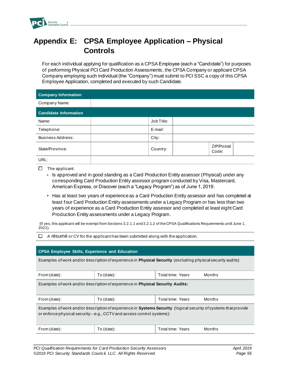

# <span id="page-57-0"></span>**Appendix E: CPSA Employee Application – Physical Controls**

For each individual applying for qualification as a CPSA Employee (each a "Candidate") for purposes of performing Physical PCI Card Production Assessments, the CPSA Company or applicant CPSA Company employing such individual (the "Company") must submit to PCI SSC a copy of this CPSA Employee Application, completed and executed by such Candidate.

| <b>Company Information</b>   |            |                     |
|------------------------------|------------|---------------------|
| Company Name:                |            |                     |
| <b>Candidate Information</b> |            |                     |
| Name:                        | Job Title: |                     |
| Telephone:                   | E-mail:    |                     |
| Business Address:            | City:      |                     |
| State/Province:              | Country:   | ZIP/Postal<br>Code: |
| URL:                         |            |                     |

- $\Box$  The applicant:
	- Is approved and in good standing as a Card Production Entity assessor (Physical) under any corresponding Card Production Entity assessor program conducted by Visa, Mastercard, American Express, or Discover (each a "Legacy Program") as of June 1, 2019.
	- Has at least two years of experience as a Card Production Entity assessor and has completed at least four Card Production Entity assessments under a Legacy Program or has less than two years of experience as a Card Production Entity assessor and completed at least eight Card Production Entity assessments under a Legacy Program.

(If yes, this applicant will be exempt from Sections 3.2.1.1 and 3.2.1.2 of the CPSA Qualifications Requirements until June 1,  $2021$ ).

 $\Box$  A résumé or CV for the applicant has been submitted along with the application.

| <b>CPSA Employee Skills, Experience and Education</b>                                                                                                                                   |               |                   |        |
|-----------------------------------------------------------------------------------------------------------------------------------------------------------------------------------------|---------------|-------------------|--------|
| Examples of work and/or description of experience in <b>Physical Security</b> (excluding physical security audits)                                                                      |               |                   |        |
| From (date):                                                                                                                                                                            | To $(data)$ : | Total time: Years | Months |
| Examples of work and/or description of experience in <b>Physical Security Audits:</b>                                                                                                   |               |                   |        |
| From (date):                                                                                                                                                                            | $To$ (date):  | Total time: Years | Months |
| Examples of work and/or description of experience in Systems Security (logical security of systems that provide<br>or enforce physical security—e.g., CCTV and access control systems): |               |                   |        |
| From (date):                                                                                                                                                                            | To $(data)$ : | Total time: Years | Months |